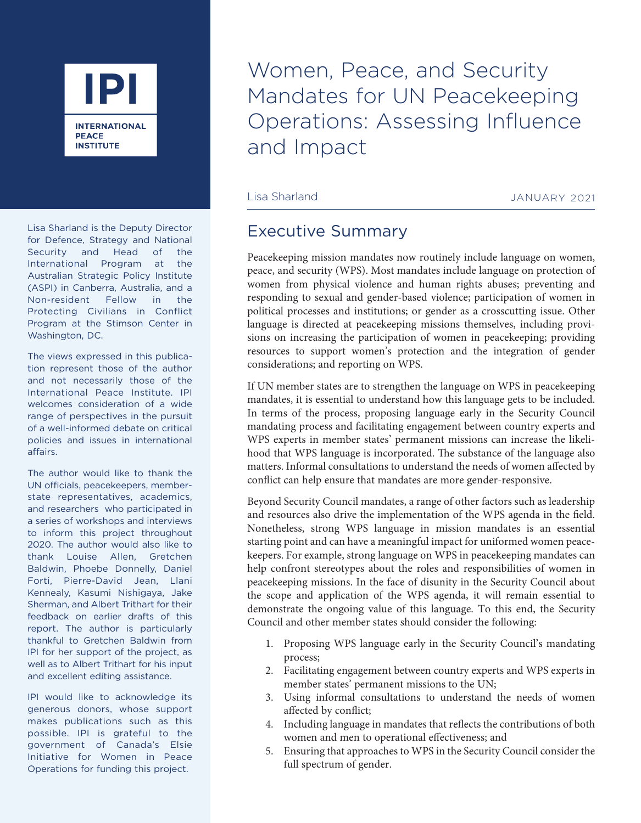

Lisa Sharland is the Deputy Director for Defence, Strategy and National Security and Head of the International Program at the Australian Strategic Policy Institute (ASPI) in Canberra, Australia, and a Non-resident Fellow in the Protecting Civilians in Conflict Program at the Stimson Center in Washington, DC.

The views expressed in this publication represent those of the author and not necessarily those of the International Peace Institute. IPI welcomes consideration of a wide range of perspectives in the pursuit of a well-informed debate on critical policies and issues in international affairs.

The author would like to thank the UN officials, peacekeepers, memberstate representatives, academics, and researchers who participated in a series of workshops and interviews to inform this project throughout 2020. The author would also like to thank Louise Allen, Gretchen Baldwin, Phoebe Donnelly, Daniel Forti, Pierre-David Jean, Llani Kennealy, Kasumi Nishigaya, Jake Sherman, and Albert Trithart for their feedback on earlier drafts of this report. The author is particularly thankful to Gretchen Baldwin from IPI for her support of the project, as well as to Albert Trithart for his input and excellent editing assistance.

IPI would like to acknowledge its generous donors, whose support makes publications such as this possible. IPI is grateful to the government of Canada's Elsie Initiative for Women in Peace Operations for funding this project.

Women, Peace, and Security Mandates for UN Peacekeeping Operations: Assessing Influence and Impact

Lisa Sharland JANUARY 2021

## Executive Summary

Peacekeeping mission mandates now routinely include language on women, peace, and security (WPS). Most mandates include language on protection of women from physical violence and human rights abuses; preventing and responding to sexual and gender-based violence; participation of women in political processes and institutions; or gender as a crosscutting issue. Other language is directed at peacekeeping missions themselves, including provisions on increasing the participation of women in peacekeeping; providing resources to support women's protection and the integration of gender considerations; and reporting on WPS.

If UN member states are to strengthen the language on WPS in peacekeeping mandates, it is essential to understand how this language gets to be included. In terms of the process, proposing language early in the Security Council mandating process and facilitating engagement between country experts and WPS experts in member states' permanent missions can increase the likelihood that WPS language is incorporated. The substance of the language also matters. Informal consultations to understand the needs of women affected by conflict can help ensure that mandates are more gender-responsive.

Beyond Security Council mandates, a range of other factors such as leadership and resources also drive the implementation of the WPS agenda in the field. Nonetheless, strong WPS language in mission mandates is an essential starting point and can have a meaningful impact for uniformed women peacekeepers. For example, strong language on WPS in peacekeeping mandates can help confront stereotypes about the roles and responsibilities of women in peacekeeping missions. In the face of disunity in the Security Council about the scope and application of the WPS agenda, it will remain essential to demonstrate the ongoing value of this language. To this end, the Security Council and other member states should consider the following:

- 1. Proposing WPS language early in the Security Council's mandating process;
- 2. Facilitating engagement between country experts and WPS experts in member states' permanent missions to the UN;
- 3. Using informal consultations to understand the needs of women affected by conflict;
- 4. Including language in mandates that reflects the contributions of both women and men to operational effectiveness; and
- 5. Ensuring that approaches to WPS in the Security Council consider the full spectrum of gender.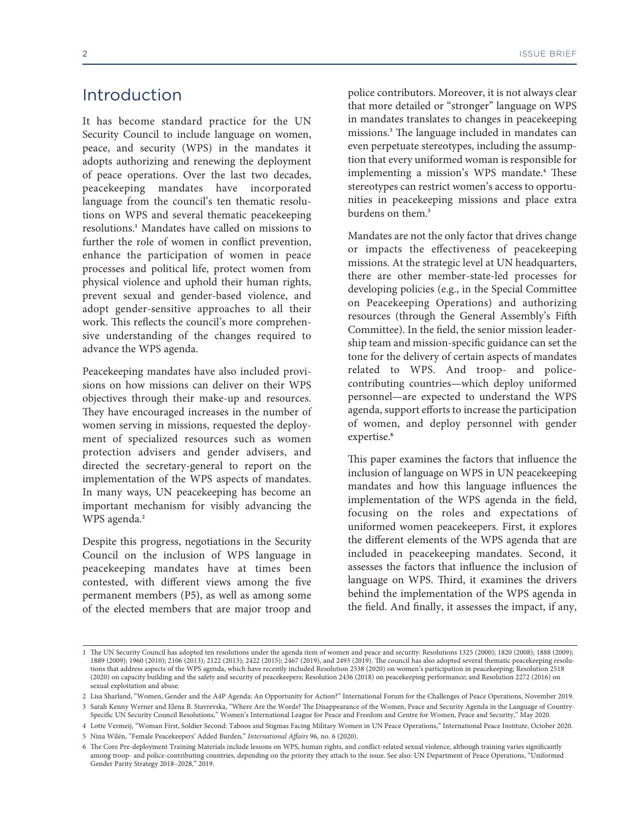## Introduction

It has become standard practice for the UN Security Council to include language on women, peace, and security (WPS) in the mandates it adopts authorizing and renewing the deployment of peace operations. Over the last two decades, peacekeeping mandates have incorporated language from the council's ten thematic resolutions on WPS and several thematic peacekeeping resolutions.**<sup>1</sup>** Mandates have called on missions to further the role of women in conflict prevention, enhance the participation of women in peace processes and political life, protect women from physical violence and uphold their human rights, prevent sexual and gender-based violence, and adopt gender-sensitive approaches to all their work. This reflects the council's more comprehensive understanding of the changes required to advance the WPS agenda.

Peacekeeping mandates have also included provisions on how missions can deliver on their WPS objectives through their make-up and resources. They have encouraged increases in the number of women serving in missions, requested the deployment of specialized resources such as women protection advisers and gender advisers, and directed the secretary-general to report on the implementation of the WPS aspects of mandates. In many ways, UN peacekeeping has become an important mechanism for visibly advancing the WPS agenda.**<sup>2</sup>**

Despite this progress, negotiations in the Security Council on the inclusion of WPS language in peacekeeping mandates have at times been contested, with different views among the five permanent members (P5), as well as among some of the elected members that are major troop and police contributors. Moreover, it is not always clear that more detailed or "stronger" language on WPS in mandates translates to changes in peacekeeping missions.**<sup>3</sup>** The language included in mandates can even perpetuate stereotypes, including the assumption that every uniformed woman is responsible for implementing a mission's WPS mandate.**<sup>4</sup>** These stereotypes can restrict women's access to opportunities in peacekeeping missions and place extra burdens on them.**<sup>5</sup>**

Mandates are not the only factor that drives change or impacts the effectiveness of peacekeeping missions. At the strategic level at UN headquarters, there are other member-state-led processes for developing policies (e.g., in the Special Committee on Peacekeeping Operations) and authorizing resources (through the General Assembly's Fifth Committee). In the field, the senior mission leadership team and mission-specific guidance can set the tone for the delivery of certain aspects of mandates related to WPS. And troop- and policecontributing countries—which deploy uniformed personnel—are expected to understand the WPS agenda, support efforts to increase the participation of women, and deploy personnel with gender expertise.**<sup>6</sup>**

This paper examines the factors that influence the inclusion of language on WPS in UN peacekeeping mandates and how this language influences the implementation of the WPS agenda in the field, focusing on the roles and expectations of uniformed women peacekeepers. First, it explores the different elements of the WPS agenda that are included in peacekeeping mandates. Second, it assesses the factors that influence the inclusion of language on WPS. Third, it examines the drivers behind the implementation of the WPS agenda in the field. And finally, it assesses the impact, if any,

3 Sarah Kenny Werner and Elena B. Stavrevska, "Where Are the Words? The Disappearance of the Women, Peace and Security Agenda in the Language of Country-Specific UN Security Council Resolutions," Women's International League for Peace and Freedom and Centre for Women, Peace and Security," May 2020.

<sup>1</sup> The UN Security Council has adopted ten resolutions under the agenda item of women and peace and security: Resolutions 1325 (2000); 1820 (2008); 1888 (2009); 1889 (2009); 1960 (2010); 2106 (2013); 2122 (2013); 2422 (2015); 2467 (2019), and 2493 (2019). The council has also adopted several thematic peacekeeping resolutions that address aspects of the WPS agenda, which have recently included Resolution 2538 (2020) on women's participation in peacekeeping; Resolution 2518 (2020) on capacity building and the safety and security of peacekeepers; Resolution 2436 (2018) on peacekeeping performance; and Resolution 2272 (2016) on sexual exploitation and abuse.

<sup>2</sup> Lisa Sharland, "Women, Gender and the A4P Agenda: An Opportunity for Action?" International Forum for the Challenges of Peace Operations, November 2019.

<sup>4</sup> Lotte Vermeij, "Woman First, Soldier Second: Taboos and Stigmas Facing Military Women in UN Peace Operations," International Peace Institute, October 2020. 5 Nina Wilén, "Female Peacekeepers' Added Burden," *International Affairs* 96, no. 6 (2020).

<sup>6</sup> The Core Pre-deployment Training Materials include lessons on WPS, human rights, and conflict-related sexual violence, although training varies significantly among troop- and police-contributing countries, depending on the priority they attach to the issue. See also: UN Department of Peace Operations, "Uniformed Gender Parity Strategy 2018–2028," 2019.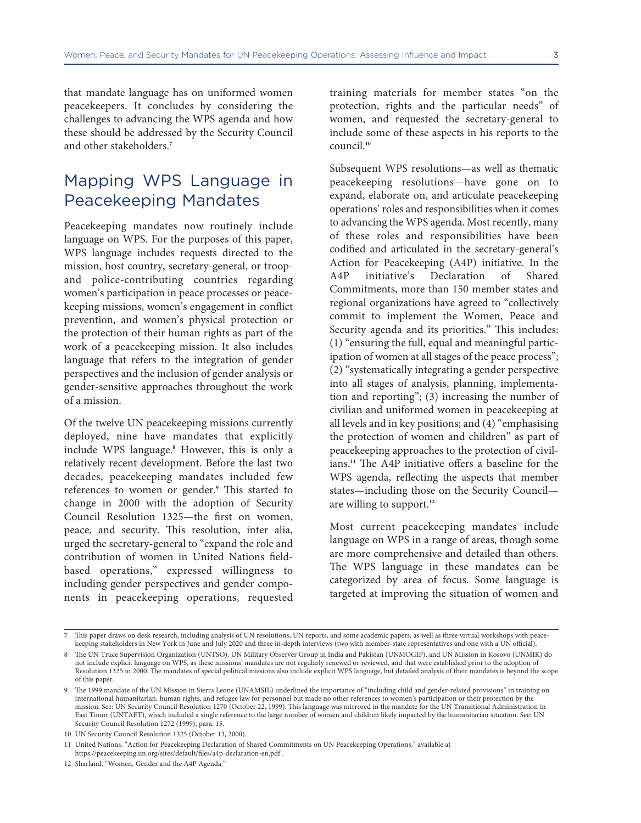that mandate language has on uniformed women peacekeepers. It concludes by considering the challenges to advancing the WPS agenda and how these should be addressed by the Security Council and other stakeholders.**<sup>7</sup>**

## Mapping WPS Language in Peacekeeping Mandates

Peacekeeping mandates now routinely include language on WPS. For the purposes of this paper, WPS language includes requests directed to the mission, host country, secretary-general, or troopand police-contributing countries regarding women's participation in peace processes or peacekeeping missions, women's engagement in conflict prevention, and women's physical protection or the protection of their human rights as part of the work of a peacekeeping mission. It also includes language that refers to the integration of gender perspectives and the inclusion of gender analysis or gender-sensitive approaches throughout the work of a mission.

Of the twelve UN peacekeeping missions currently deployed, nine have mandates that explicitly include WPS language.**<sup>8</sup>** However, this is only a relatively recent development. Before the last two decades, peacekeeping mandates included few references to women or gender.**<sup>9</sup>** This started to change in 2000 with the adoption of Security Council Resolution 1325—the first on women, peace, and security. This resolution, inter alia, urged the secretary-general to "expand the role and contribution of women in United Nations fieldbased operations," expressed willingness to including gender perspectives and gender components in peacekeeping operations, requested

training materials for member states "on the protection, rights and the particular needs" of women, and requested the secretary-general to include some of these aspects in his reports to the council.**<sup>10</sup>**

Subsequent WPS resolutions—as well as thematic peacekeeping resolutions—have gone on to expand, elaborate on, and articulate peacekeeping operations' roles and responsibilities when it comes to advancing the WPS agenda. Most recently, many of these roles and responsibilities have been codified and articulated in the secretary-general's Action for Peacekeeping (A4P) initiative. In the A4P initiative's Declaration of Shared Commitments, more than 150 member states and regional organizations have agreed to "collectively commit to implement the Women, Peace and Security agenda and its priorities." This includes: (1) "ensuring the full, equal and meaningful participation of women at all stages of the peace process"; (2) "systematically integrating a gender perspective into all stages of analysis, planning, implementation and reporting"; (3) increasing the number of civilian and uniformed women in peacekeeping at all levels and in key positions; and (4) "emphasising the protection of women and children" as part of peacekeeping approaches to the protection of civilians.**11** The A4P initiative offers a baseline for the WPS agenda, reflecting the aspects that member states—including those on the Security Council are willing to support.**<sup>12</sup>**

Most current peacekeeping mandates include language on WPS in a range of areas, though some are more comprehensive and detailed than others. The WPS language in these mandates can be categorized by area of focus. Some language is targeted at improving the situation of women and

<sup>7</sup> This paper draws on desk research, including analysis of UN resolutions, UN reports, and some academic papers, as well as three virtual workshops with peacekeeping stakeholders in New York in June and July 2020 and three in-depth interviews (two with member-state representatives and one with a UN official).

<sup>8</sup> The UN Truce Supervision Organization (UNTSO), UN Military Observer Group in India and Pakistan (UNMOGIP), and UN Mission in Kosovo (UNMIK) do not include explicit language on WPS, as these missions' mandates are not regularly renewed or reviewed, and that were established prior to the adoption of Resolution 1325 in 2000. The mandates of special political missions also include explicit WPS language, but detailed analysis of their mandates is beyond the scope of this paper.

<sup>9</sup> The 1999 mandate of the UN Mission in Sierra Leone (UNAMSIL) underlined the importance of "including child and gender-related provisions" in training on international humanitarian, human rights, and refugee law for personnel but made no other references to women's participation or their protection by the mission. See: UN Security Council Resolution 1270 (October 22, 1999). This language was mirrored in the mandate for the UN Transitional Administration in East Timor (UNTAET), which included a single reference to the large number of women and children likely impacted by the humanitarian situation. See: UN Security Council Resolution 1272 (1999), para. 15.

<sup>10</sup> UN Security Council Resolution 1325 (October 13, 2000).

<sup>11</sup> United Nations, "Action for Peacekeeping Declaration of Shared Commitments on UN Peacekeeping Operations," available at https://peacekeeping.un.org/sites/default/files/a4p-declaration-en.pdf .

<sup>12</sup> [Sharland, "Women, Gender and the A4P Agenda."](https://peacekeeping.un.org/sites/default/files/a4p-declaration-en.pdf)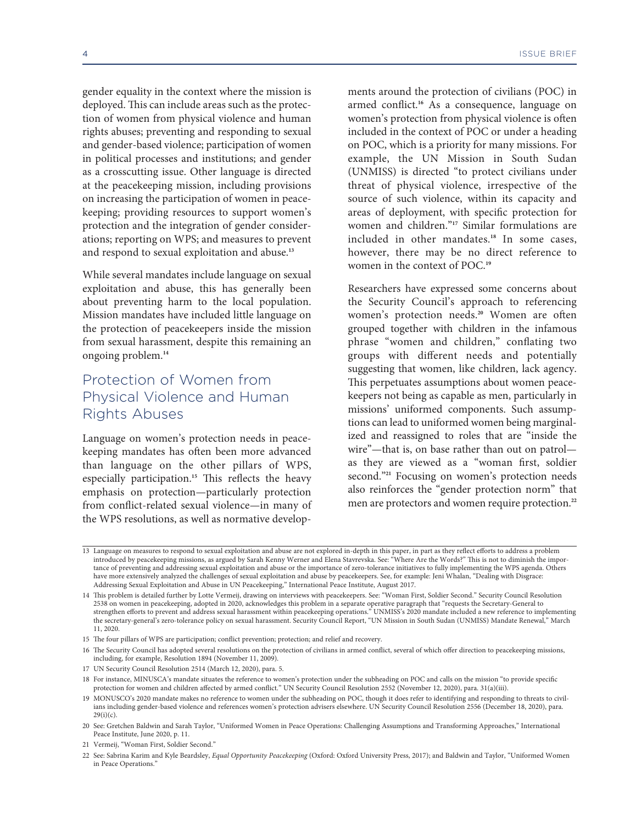gender equality in the context where the mission is deployed. This can include areas such as the protection of women from physical violence and human rights abuses; preventing and responding to sexual and gender-based violence; participation of women in political processes and institutions; and gender as a crosscutting issue. Other language is directed at the peacekeeping mission, including provisions on increasing the participation of women in peacekeeping; providing resources to support women's protection and the integration of gender considerations; reporting on WPS; and measures to prevent and respond to sexual exploitation and abuse.**<sup>13</sup>**

While several mandates include language on sexual exploitation and abuse, this has generally been about preventing harm to the local population. Mission mandates have included little language on the protection of peacekeepers inside the mission from sexual harassment, despite this remaining an ongoing problem.**<sup>14</sup>**

## Protection of Women from Physical Violence and Human Rights Abuses

Language on women's protection needs in peacekeeping mandates has often been more advanced than language on the other pillars of WPS, especially participation.**15** This reflects the heavy emphasis on protection—particularly protection from conflict-related sexual violence—in many of the WPS resolutions, as well as normative developments around the protection of civilians (POC) in armed conflict.**16** As a consequence, language on women's protection from physical violence is often included in the context of POC or under a heading on POC, which is a priority for many missions. For example, the UN Mission in South Sudan (UNMISS) is directed "to protect civilians under threat of physical violence, irrespective of the source of such violence, within its capacity and areas of deployment, with specific protection for women and children."**17** Similar formulations are included in other mandates.**18** In some cases, however, there may be no direct reference to women in the context of POC.**<sup>19</sup>**

Researchers have expressed some concerns about the Security Council's approach to referencing women's protection needs.**20** Women are often grouped together with children in the infamous phrase "women and children," conflating two groups with different needs and potentially suggesting that women, like children, lack agency. This perpetuates assumptions about women peacekeepers not being as capable as men, particularly in missions' uniformed components. Such assumptions can lead to uniformed women being marginalized and reassigned to roles that are "inside the wire"—that is, on base rather than out on patrol as they are viewed as a "woman first, soldier second."**21** Focusing on women's protection needs also reinforces the "gender protection norm" that men are protectors and women require protection.**<sup>22</sup>**

<sup>13</sup> Language on measures to respond to sexual exploitation and abuse are not explored in-depth in this paper, in part as they reflect efforts to address a problem introduced by peacekeeping missions, as argued by Sarah Kenny Werner and Elena Stavrevska. See: "Where Are the Words?" This is not to diminish the importance of preventing and addressing sexual exploitation and abuse or the importance of zero-tolerance initiatives to fully implementing the WPS agenda. Others have more extensively analyzed the challenges of sexual exploitation and abuse by peacekeepers. See, for example: Jeni Whalan, "Dealing with Disgrace: Addressing Sexual Exploitation and Abuse in UN Peacekeeping," International Peace Institute, August 2017.

<sup>14</sup> This problem is detailed further by Lotte Vermeij, drawing on interviews with peacekeepers. See: "Woman First, Soldier Second." Security Council Resolution 2538 on women in peacekeeping, adopted in 2020, acknowledges this problem in a separate operative paragraph that "requests the Secretary-General to strengthen efforts to prevent and address sexual harassment within peacekeeping operations." UNMISS's 2020 mandate included a new reference to implementing the secretary-general's zero-tolerance policy on sexual harassment. Security Council Report, "UN Mission in South Sudan (UNMISS) Mandate Renewal," March 11, 2020.

<sup>15</sup> The four pillars of WPS are participation; conflict prevention; protection; and relief and recovery.

<sup>16</sup> The Security Council has adopted several resolutions on the protection of civilians in armed conflict, several of which offer direction to peacekeeping missions, including, for example, Resolution 1894 (November 11, 2009).

<sup>17</sup> UN Security Council Resolution 2514 (March 12, 2020), para. 5.

<sup>18</sup> For instance, MINUSCA's mandate situates the reference to women's protection under the subheading on POC and calls on the mission "to provide specific protection for women and children affected by armed conflict." UN Security Council Resolution 2552 (November 12, 2020), para. 31(a)(iii).

<sup>19</sup> MONUSCO's 2020 mandate makes no reference to women under the subheading on POC, though it does refer to identifying and responding to threats to civilians including gender-based violence and references women's protection advisers elsewhere. UN Security Council Resolution 2556 (December 18, 2020), para.  $29(i)(c)$ .

<sup>20</sup> See: Gretchen Baldwin and Sarah Taylor, "Uniformed Women in Peace Operations: Challenging Assumptions and Transforming Approaches," International Peace Institute, June 2020, p. 11.

<sup>21</sup> Vermeij, "Woman First, Soldier Second."

<sup>22</sup> See: Sabrina Karim and Kyle Beardsley, *Equal Opportunity Peacekeeping* (Oxford: Oxford University Press, 2017); and Baldwin and Taylor, "Uniformed Women in Peace Operations."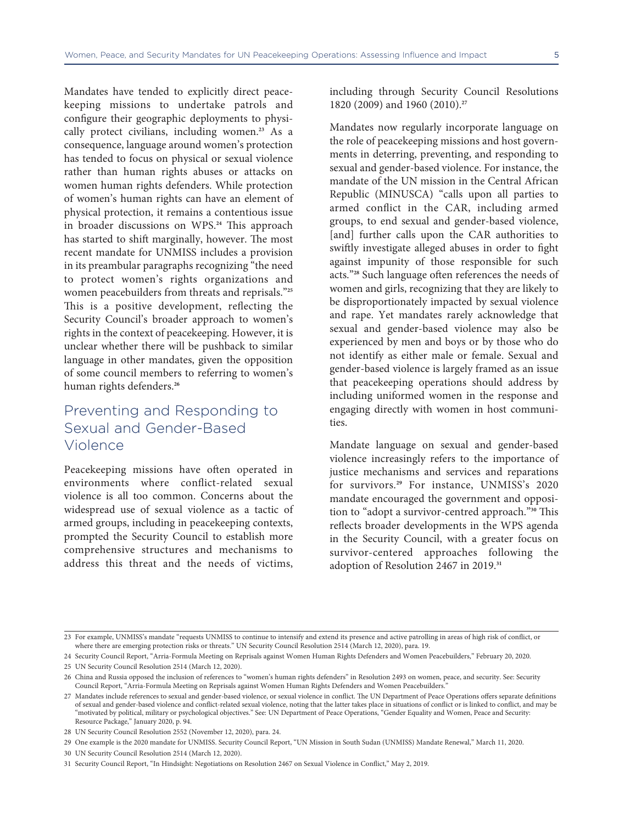Mandates have tended to explicitly direct peacekeeping missions to undertake patrols and configure their geographic deployments to physically protect civilians, including women.**23** As a consequence, language around women's protection has tended to focus on physical or sexual violence rather than human rights abuses or attacks on women human rights defenders. While protection of women's human rights can have an element of physical protection, it remains a contentious issue in broader discussions on WPS.**24** This approach has started to shift marginally, however. The most recent mandate for UNMISS includes a provision in its preambular paragraphs recognizing "the need to protect women's rights organizations and women peacebuilders from threats and reprisals."**<sup>25</sup>** This is a positive development, reflecting the Security Council's broader approach to women's rights in the context of peacekeeping. However, it is unclear whether there will be pushback to similar language in other mandates, given the opposition of some council members to referring to women's human rights defenders.**<sup>26</sup>**

#### Preventing and Responding to Sexual and Gender-Based Violence

Peacekeeping missions have often operated in environments where conflict-related sexual violence is all too common. Concerns about the widespread use of sexual violence as a tactic of armed groups, including in peacekeeping contexts, prompted the Security Council to establish more comprehensive structures and mechanisms to address this threat and the needs of victims,

including through Security Council Resolutions 1820 (2009) and 1960 (2010).**<sup>27</sup>**

Mandates now regularly incorporate language on the role of peacekeeping missions and host governments in deterring, preventing, and responding to sexual and gender-based violence. For instance, the mandate of the UN mission in the Central African Republic (MINUSCA) "calls upon all parties to armed conflict in the CAR, including armed groups, to end sexual and gender-based violence, [and] further calls upon the CAR authorities to swiftly investigate alleged abuses in order to fight against impunity of those responsible for such acts."**28** Such language often references the needs of women and girls, recognizing that they are likely to be disproportionately impacted by sexual violence and rape. Yet mandates rarely acknowledge that sexual and gender-based violence may also be experienced by men and boys or by those who do not identify as either male or female. Sexual and gender-based violence is largely framed as an issue that peacekeeping operations should address by including uniformed women in the response and engaging directly with women in host communities.

Mandate language on sexual and gender-based violence increasingly refers to the importance of justice mechanisms and services and reparations for survivors.**29** For instance, UNMISS's 2020 mandate encouraged the government and opposition to "adopt a survivor-centred approach."**30** This reflects broader developments in the WPS agenda in the Security Council, with a greater focus on survivor-centered approaches following the adoption of Resolution 2467 in 2019.**<sup>31</sup>**

<sup>23</sup> For example, UNMISS's mandate "requests UNMISS to continue to intensify and extend its presence and active patrolling in areas of high risk of conflict, or where there are emerging protection risks or threats." UN Security Council Resolution 2514 (March 12, 2020), para. 19.

<sup>24</sup> Security Council Report, "Arria-Formula Meeting on Reprisals against Women Human Rights Defenders and Women Peacebuilders," February 20, 2020.

<sup>25</sup> UN Security Council Resolution 2514 (March 12, 2020).

<sup>26</sup> China and Russia opposed the inclusion of references to "women's human rights defenders" in Resolution 2493 on women, peace, and security. See: Security Council Report, "Arria-Formula Meeting on Reprisals against Women Human Rights Defenders and Women Peacebuilders."

<sup>27</sup> Mandates include references to sexual and gender-based violence, or sexual violence in conflict. The UN Department of Peace Operations offers separate definitions of sexual and gender-based violence and conflict-related sexual violence, noting that the latter takes place in situations of conflict or is linked to conflict, and may be "motivated by political, military or psychological objectives." See: UN Department of Peace Operations, "Gender Equality and Women, Peace and Security: Resource Package," January 2020, p. 94.

<sup>28</sup> UN Security Council Resolution 2552 (November 12, 2020), para. 24.

<sup>29</sup> One example is the 2020 mandate for UNMISS. Security Council Report, "UN Mission in South Sudan (UNMISS) Mandate Renewal," March 11, 2020.

<sup>30</sup> UN Security Council Resolution 2514 (March 12, 2020).

<sup>31</sup> Security Council Report, "In Hindsight: Negotiations on Resolution 2467 on Sexual Violence in Conflict," May 2, 2019.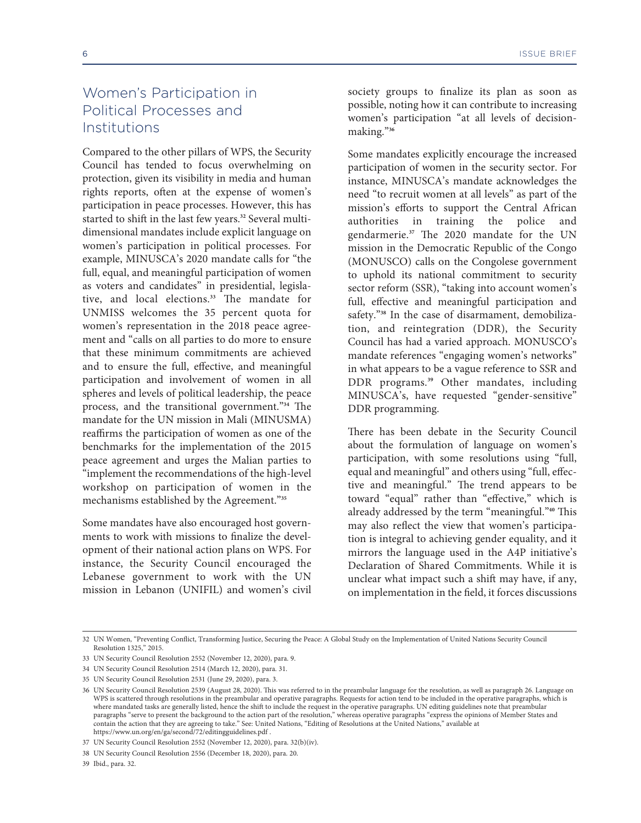## Women's Participation in Political Processes and Institutions

Compared to the other pillars of WPS, the Security Council has tended to focus overwhelming on protection, given its visibility in media and human rights reports, often at the expense of women's participation in peace processes. However, this has started to shift in the last few years.**32** Several multidimensional mandates include explicit language on women's participation in political processes. For example, MINUSCA's 2020 mandate calls for "the full, equal, and meaningful participation of women as voters and candidates" in presidential, legislative, and local elections.**33** The mandate for UNMISS welcomes the 35 percent quota for women's representation in the 2018 peace agreement and "calls on all parties to do more to ensure that these minimum commitments are achieved and to ensure the full, effective, and meaningful participation and involvement of women in all spheres and levels of political leadership, the peace process, and the transitional government."**34** The mandate for the UN mission in Mali (MINUSMA) reaffirms the participation of women as one of the benchmarks for the implementation of the 2015 peace agreement and urges the Malian parties to "implement the recommendations of the high-level workshop on participation of women in the mechanisms established by the Agreement."**<sup>35</sup>**

Some mandates have also encouraged host governments to work with missions to finalize the development of their national action plans on WPS. For instance, the Security Council encouraged the Lebanese government to work with the UN mission in Lebanon (UNIFIL) and women's civil

society groups to finalize its plan as soon as possible, noting how it can contribute to increasing women's participation "at all levels of decisionmaking."**<sup>36</sup>**

Some mandates explicitly encourage the increased participation of women in the security sector. For instance, MINUSCA's mandate acknowledges the need "to recruit women at all levels" as part of the mission's efforts to support the Central African authorities in training the police and gendarmerie.**37** The 2020 mandate for the UN mission in the Democratic Republic of the Congo (MONUSCO) calls on the Congolese government to uphold its national commitment to security sector reform (SSR), "taking into account women's full, effective and meaningful participation and safety."**38** In the case of disarmament, demobilization, and reintegration (DDR), the Security Council has had a varied approach. MONUSCO's mandate references "engaging women's networks" in what appears to be a vague reference to SSR and DDR programs.**39** Other mandates, including MINUSCA's, have requested "gender-sensitive" DDR programming.

There has been debate in the Security Council about the formulation of language on women's participation, with some resolutions using "full, equal and meaningful" and others using "full, effective and meaningful." The trend appears to be toward "equal" rather than "effective," which is already addressed by the term "meaningful."**40** This may also reflect the view that women's participation is integral to achieving gender equality, and it mirrors the language used in the A4P initiative's Declaration of Shared Commitments. While it is unclear what impact such a shift may have, if any, on implementation in the field, it forces discussions

39 Ibid., para. 32.

<sup>32</sup> UN Women, "Preventing Conflict, Transforming Justice, Securing the Peace: A Global Study on the Implementation of United Nations Security Council Resolution 1325," 2015.

<sup>33</sup> UN Security Council Resolution 2552 (November 12, 2020), para. 9.

<sup>34</sup> UN Security Council Resolution 2514 (March 12, 2020), para. 31.

<sup>35</sup> UN Security Council Resolution 2531 (June 29, 2020), para. 3.

<sup>36</sup> UN Security Council Resolution 2539 (August 28, 2020). This was referred to in the preambular language for the resolution, as well as paragraph 26. Language on WPS is scattered through resolutions in the preambular and operative paragraphs. Requests for action tend to be included in the operative paragraphs, which is where mandated tasks are generally listed, hence the shift to include the request in the operative paragraphs. UN editing guidelines note that preambular paragraphs "serve to present the background to the action part of the resolution," whereas operative paragraphs "express the opinions of Member States and contain the action that they are agreeing to take." See: United Nations, "Editing of Resolutions at the United Nations," available at https://www.un.org/en/ga/second/72/editingguidelines.pdf .

<sup>37</sup> UN Security Council Resolution 2552 (November 12, 2020), para. 32(b)(iv).

<sup>38</sup> [UN Security Council Resolution 2556 \(December 18, 2020\)](https://www.un.org/en/ga/second/72/editingguidelines.pdf), para. 20.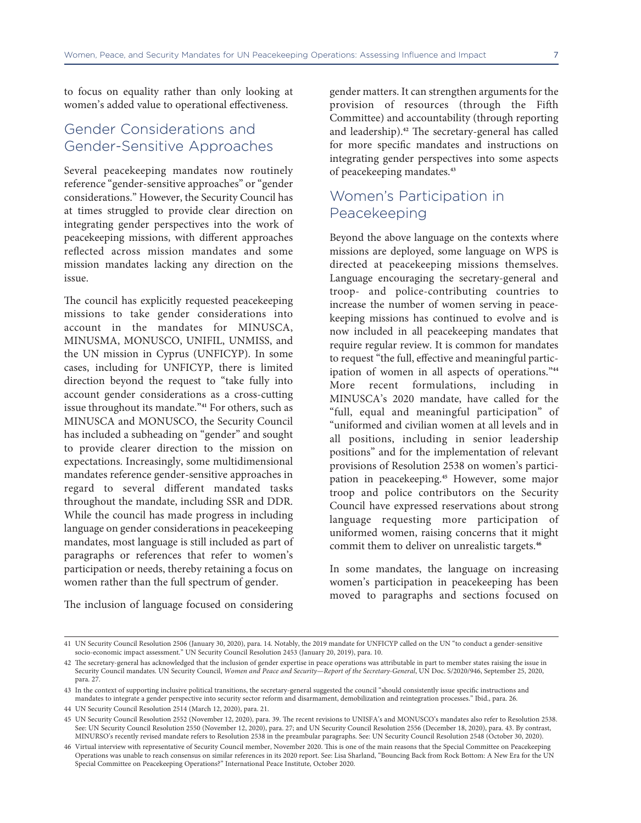to focus on equality rather than only looking at women's added value to operational effectiveness.

### Gender Considerations and Gender-Sensitive Approaches

Several peacekeeping mandates now routinely reference "gender-sensitive approaches" or "gender considerations." However, the Security Council has at times struggled to provide clear direction on integrating gender perspectives into the work of peacekeeping missions, with different approaches reflected across mission mandates and some mission mandates lacking any direction on the issue.

The council has explicitly requested peacekeeping missions to take gender considerations into account in the mandates for MINUSCA, MINUSMA, MONUSCO, UNIFIL, UNMISS, and the UN mission in Cyprus (UNFICYP). In some cases, including for UNFICYP, there is limited direction beyond the request to "take fully into account gender considerations as a cross-cutting issue throughout its mandate."**41** For others, such as MINUSCA and MONUSCO, the Security Council has included a subheading on "gender" and sought to provide clearer direction to the mission on expectations. Increasingly, some multidimensional mandates reference gender-sensitive approaches in regard to several different mandated tasks throughout the mandate, including SSR and DDR. While the council has made progress in including language on gender considerations in peacekeeping mandates, most language is still included as part of paragraphs or references that refer to women's participation or needs, thereby retaining a focus on women rather than the full spectrum of gender.

gender matters. It can strengthen arguments for the provision of resources (through the Fifth Committee) and accountability (through reporting and leadership).**42** The secretary-general has called for more specific mandates and instructions on integrating gender perspectives into some aspects of peacekeeping mandates.**<sup>43</sup>**

### Women's Participation in Peacekeeping

Beyond the above language on the contexts where missions are deployed, some language on WPS is directed at peacekeeping missions themselves. Language encouraging the secretary-general and troop- and police-contributing countries to increase the number of women serving in peacekeeping missions has continued to evolve and is now included in all peacekeeping mandates that require regular review. It is common for mandates to request "the full, effective and meaningful participation of women in all aspects of operations."**<sup>44</sup>** More recent formulations, including in MINUSCA's 2020 mandate, have called for the "full, equal and meaningful participation" of "uniformed and civilian women at all levels and in all positions, including in senior leadership positions" and for the implementation of relevant provisions of Resolution 2538 on women's participation in peacekeeping.**45** However, some major troop and police contributors on the Security Council have expressed reservations about strong language requesting more participation of uniformed women, raising concerns that it might commit them to deliver on unrealistic targets.**<sup>46</sup>**

In some mandates, the language on increasing women's participation in peacekeeping has been moved to paragraphs and sections focused on

The inclusion of language focused on considering

<sup>41</sup> UN Security Council Resolution 2506 (January 30, 2020), para. 14. Notably, the 2019 mandate for UNFICYP called on the UN "to conduct a gender-sensitive socio-economic impact assessment." UN Security Council Resolution 2453 (January 20, 2019), para. 10.

<sup>42</sup> The secretary-general has acknowledged that the inclusion of gender expertise in peace operations was attributable in part to member states raising the issue in Security Council mandates. UN Security Council, *Women and Peace and Security—Report of the Secretary-General*, UN Doc. S/2020/946, September 25, 2020, para. 27.

<sup>43</sup> In the context of supporting inclusive political transitions, the secretary-general suggested the council "should consistently issue specific instructions and mandates to integrate a gender perspective into security sector reform and disarmament, demobilization and reintegration processes." Ibid., para. 26.

<sup>44</sup> UN Security Council Resolution 2514 (March 12, 2020), para. 21.

<sup>45</sup> UN Security Council Resolution 2552 (November 12, 2020), para. 39. The recent revisions to UNISFA's and MONUSCO's mandates also refer to Resolution 2538. See: UN Security Council Resolution 2550 (November 12, 2020), para. 27; and UN Security Council Resolution 2556 (December 18, 2020), para. 43. By contrast, MINURSO's recently revised mandate refers to Resolution 2538 in the preambular paragraphs. See: UN Security Council Resolution 2548 (October 30, 2020).

<sup>46</sup> Virtual interview with representative of Security Council member, November 2020. This is one of the main reasons that the Special Committee on Peacekeeping Operations was unable to reach consensus on similar references in its 2020 report. See: Lisa Sharland, "Bouncing Back from Rock Bottom: A New Era for the UN Special Committee on Peacekeeping Operations?" International Peace Institute, October 2020.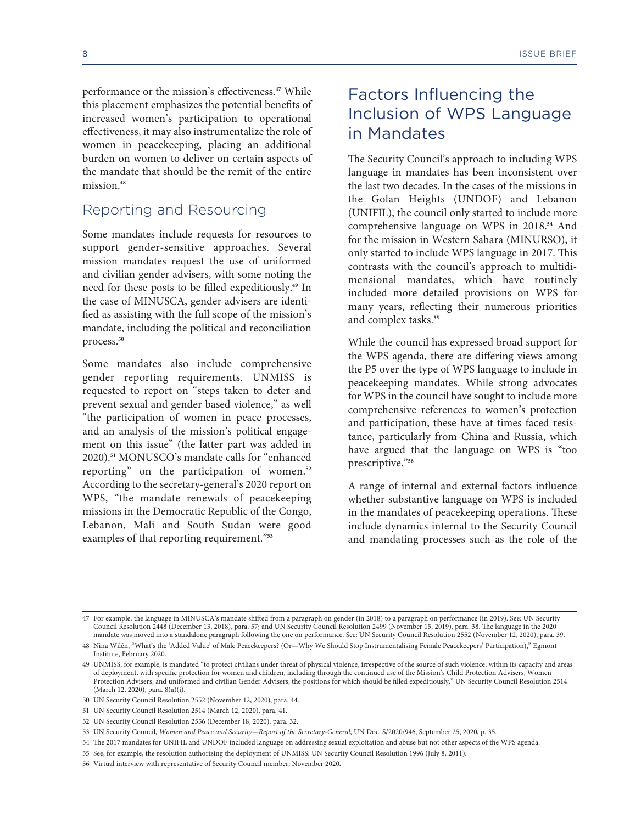burden on women to deliver on certain aspects of the mandate that should be the remit of the entire mission<sup>48</sup>

#### Reporting and Resourcing

Some mandates include requests for resources to support gender-sensitive approaches. Several mission mandates request the use of uniformed and civilian gender advisers, with some noting the need for these posts to be filled expeditiously.**49** In the case of MINUSCA, gender advisers are identified as assisting with the full scope of the mission's mandate, including the political and reconciliation process.**<sup>50</sup>**

Some mandates also include comprehensive gender reporting requirements. UNMISS is requested to report on "steps taken to deter and prevent sexual and gender based violence," as well "the participation of women in peace processes, and an analysis of the mission's political engagement on this issue" (the latter part was added in 2020).**51** MONUSCO's mandate calls for "enhanced reporting" on the participation of women.**<sup>52</sup>** According to the secretary-general's 2020 report on WPS, "the mandate renewals of peacekeeping missions in the Democratic Republic of the Congo, Lebanon, Mali and South Sudan were good examples of that reporting requirement."**<sup>53</sup>**

## Factors Influencing the Inclusion of WPS Language in Mandates

The Security Council's approach to including WPS language in mandates has been inconsistent over the last two decades. In the cases of the missions in the Golan Heights (UNDOF) and Lebanon (UNIFIL), the council only started to include more comprehensive language on WPS in 2018.**54** And for the mission in Western Sahara (MINURSO), it only started to include WPS language in 2017. This contrasts with the council's approach to multidimensional mandates, which have routinely included more detailed provisions on WPS for many years, reflecting their numerous priorities and complex tasks.**<sup>55</sup>**

While the council has expressed broad support for the WPS agenda, there are differing views among the P5 over the type of WPS language to include in peacekeeping mandates. While strong advocates for WPS in the council have sought to include more comprehensive references to women's protection and participation, these have at times faced resistance, particularly from China and Russia, which have argued that the language on WPS is "too prescriptive."**<sup>56</sup>**

A range of internal and external factors influence whether substantive language on WPS is included in the mandates of peacekeeping operations. These include dynamics internal to the Security Council and mandating processes such as the role of the

<sup>47</sup> For example, the language in MINUSCA's mandate shifted from a paragraph on gender (in 2018) to a paragraph on performance (in 2019). See: UN Security Council Resolution 2448 (December 13, 2018), para. 57; and UN Security Council Resolution 2499 (November 15, 2019), para. 38. The language in the 2020 mandate was moved into a standalone paragraph following the one on performance. See: UN Security Council Resolution 2552 (November 12, 2020), para. 39.

<sup>48</sup> Nina Wilén, "What's the 'Added Value' of Male Peacekeepers? (Or—Why We Should Stop Instrumentalising Female Peacekeepers' Participation)," Egmont Institute, February 2020.

<sup>49</sup> UNMISS, for example, is mandated "to protect civilians under threat of physical violence, irrespective of the source of such violence, within its capacity and areas of deployment, with specific protection for women and children, including through the continued use of the Mission's Child Protection Advisers, Women Protection Advisers, and uniformed and civilian Gender Advisers, the positions for which should be filled expeditiously." UN Security Council Resolution 2514 (March 12, 2020), para. 8(a)(i).

<sup>50</sup> UN Security Council Resolution 2552 (November 12, 2020), para. 44.

<sup>51</sup> UN Security Council Resolution 2514 (March 12, 2020), para. 41.

<sup>52</sup> UN Security Council Resolution 2556 (December 18, 2020), para. 32.

<sup>53</sup> UN Security Council, *Women and Peace and Security—Report of the Secretary-General*, UN Doc. S/2020/946, September 25, 2020, p. 35.

<sup>54</sup> The 2017 mandates for UNIFIL and UNDOF included language on addressing sexual exploitation and abuse but not other aspects of the WPS agenda.

<sup>55</sup> See, for example, the resolution authorizing the deployment of UNMISS: UN Security Council Resolution 1996 (July 8, 2011).

<sup>56</sup> Virtual interview with representative of Security Council member, November 2020.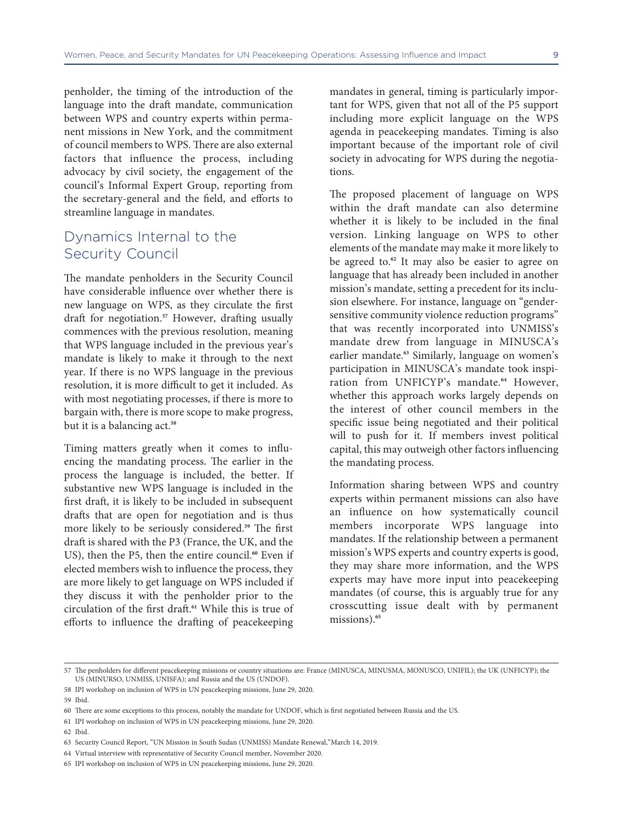penholder, the timing of the introduction of the language into the draft mandate, communication between WPS and country experts within permanent missions in New York, and the commitment of council members to WPS. There are also external factors that influence the process, including advocacy by civil society, the engagement of the council's Informal Expert Group, reporting from the secretary-general and the field, and efforts to streamline language in mandates.

#### Dynamics Internal to the Security Council

The mandate penholders in the Security Council have considerable influence over whether there is new language on WPS, as they circulate the first draft for negotiation.**57** However, drafting usually commences with the previous resolution, meaning that WPS language included in the previous year's mandate is likely to make it through to the next year. If there is no WPS language in the previous resolution, it is more difficult to get it included. As with most negotiating processes, if there is more to bargain with, there is more scope to make progress, but it is a balancing act.**<sup>58</sup>**

Timing matters greatly when it comes to influencing the mandating process. The earlier in the process the language is included, the better. If substantive new WPS language is included in the first draft, it is likely to be included in subsequent drafts that are open for negotiation and is thus more likely to be seriously considered.**59** The first draft is shared with the P3 (France, the UK, and the US), then the P5, then the entire council.**60** Even if elected members wish to influence the process, they are more likely to get language on WPS included if they discuss it with the penholder prior to the circulation of the first draft.**61** While this is true of efforts to influence the drafting of peacekeeping

mandates in general, timing is particularly important for WPS, given that not all of the P5 support including more explicit language on the WPS agenda in peacekeeping mandates. Timing is also important because of the important role of civil society in advocating for WPS during the negotiations.

The proposed placement of language on WPS within the draft mandate can also determine whether it is likely to be included in the final version. Linking language on WPS to other elements of the mandate may make it more likely to be agreed to.**62** It may also be easier to agree on language that has already been included in another mission's mandate, setting a precedent for its inclusion elsewhere. For instance, language on "gendersensitive community violence reduction programs" that was recently incorporated into UNMISS's mandate drew from language in MINUSCA's earlier mandate.**63** Similarly, language on women's participation in MINUSCA's mandate took inspiration from UNFICYP's mandate.**64** However, whether this approach works largely depends on the interest of other council members in the specific issue being negotiated and their political will to push for it. If members invest political capital, this may outweigh other factors influencing the mandating process.

Information sharing between WPS and country experts within permanent missions can also have an influence on how systematically council members incorporate WPS language into mandates. If the relationship between a permanent mission's WPS experts and country experts is good, they may share more information, and the WPS experts may have more input into peacekeeping mandates (of course, this is arguably true for any crosscutting issue dealt with by permanent missions).**<sup>65</sup>**

<sup>57</sup> The penholders for different peacekeeping missions or country situations are: France (MINUSCA, MINUSMA, MONUSCO, UNIFIL); the UK (UNFICYP); the US (MINURSO, UNMISS, UNISFA); and Russia and the US (UNDOF).

<sup>58</sup> IPI workshop on inclusion of WPS in UN peacekeeping missions, June 29, 2020.

<sup>59</sup> Ibid.

<sup>60</sup> There are some exceptions to this process, notably the mandate for UNDOF, which is first negotiated between Russia and the US.

<sup>61</sup> IPI workshop on inclusion of WPS in UN peacekeeping missions, June 29, 2020.

<sup>62</sup> Ibid.

<sup>63</sup> Security Council Report, "UN Mission in South Sudan (UNMISS) Mandate Renewal,"March 14, 2019.

<sup>64</sup> Virtual interview with representative of Security Council member, November 2020.

<sup>65</sup> IPI workshop on inclusion of WPS in UN peacekeeping missions, June 29, 2020.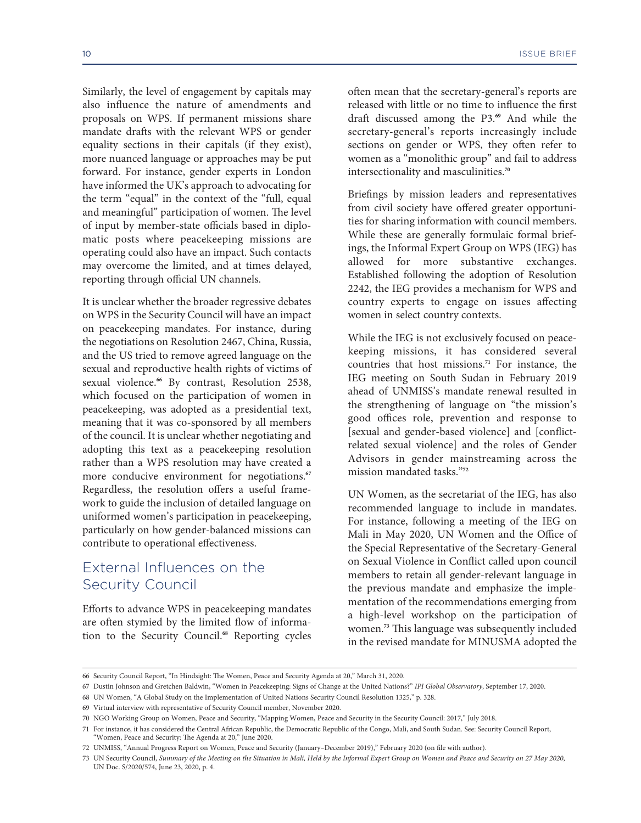Similarly, the level of engagement by capitals may also influence the nature of amendments and proposals on WPS. If permanent missions share mandate drafts with the relevant WPS or gender equality sections in their capitals (if they exist), more nuanced language or approaches may be put forward. For instance, gender experts in London have informed the UK's approach to advocating for the term "equal" in the context of the "full, equal and meaningful" participation of women. The level of input by member-state officials based in diplomatic posts where peacekeeping missions are operating could also have an impact. Such contacts may overcome the limited, and at times delayed, reporting through official UN channels.

It is unclear whether the broader regressive debates on WPS in the Security Council will have an impact on peacekeeping mandates. For instance, during the negotiations on Resolution 2467, China, Russia, and the US tried to remove agreed language on the sexual and reproductive health rights of victims of sexual violence.**66** By contrast, Resolution 2538, which focused on the participation of women in peacekeeping, was adopted as a presidential text, meaning that it was co-sponsored by all members of the council. It is unclear whether negotiating and adopting this text as a peacekeeping resolution rather than a WPS resolution may have created a more conducive environment for negotiations.**<sup>67</sup>** Regardless, the resolution offers a useful framework to guide the inclusion of detailed language on uniformed women's participation in peacekeeping, particularly on how gender-balanced missions can contribute to operational effectiveness.

## External Influences on the Security Council

Efforts to advance WPS in peacekeeping mandates are often stymied by the limited flow of information to the Security Council.**68** Reporting cycles often mean that the secretary-general's reports are released with little or no time to influence the first draft discussed among the P3.**69** And while the secretary-general's reports increasingly include sections on gender or WPS, they often refer to women as a "monolithic group" and fail to address intersectionality and masculinities.**<sup>70</sup>**

Briefings by mission leaders and representatives from civil society have offered greater opportunities for sharing information with council members. While these are generally formulaic formal briefings, the Informal Expert Group on WPS (IEG) has allowed for more substantive exchanges. Established following the adoption of Resolution 2242, the IEG provides a mechanism for WPS and country experts to engage on issues affecting women in select country contexts.

While the IEG is not exclusively focused on peacekeeping missions, it has considered several countries that host missions.**71** For instance, the IEG meeting on South Sudan in February 2019 ahead of UNMISS's mandate renewal resulted in the strengthening of language on "the mission's good offices role, prevention and response to [sexual and gender-based violence] and [conflictrelated sexual violence] and the roles of Gender Advisors in gender mainstreaming across the mission mandated tasks."**<sup>72</sup>**

UN Women, as the secretariat of the IEG, has also recommended language to include in mandates. For instance, following a meeting of the IEG on Mali in May 2020, UN Women and the Office of the Special Representative of the Secretary-General on Sexual Violence in Conflict called upon council members to retain all gender-relevant language in the previous mandate and emphasize the implementation of the recommendations emerging from a high-level workshop on the participation of women.**73** This language was subsequently included in the revised mandate for MINUSMA adopted the

<sup>66</sup> Security Council Report, "In Hindsight: The Women, Peace and Security Agenda at 20," March 31, 2020.

<sup>67</sup> Dustin Johnson and Gretchen Baldwin, "Women in Peacekeeping: Signs of Change at the United Nations?" *IPI Global Observatory*, September 17, 2020.

<sup>68</sup> UN Women, "A Global Study on the Implementation of United Nations Security Council Resolution 1325," p. 328.

<sup>69</sup> Virtual interview with representative of Security Council member, November 2020.

<sup>70</sup> NGO Working Group on Women, Peace and Security, "Mapping Women, Peace and Security in the Security Council: 2017," July 2018.

<sup>71</sup> For instance, it has considered the Central African Republic, the Democratic Republic of the Congo, Mali, and South Sudan. See: Security Council Report, "Women, Peace and Security: The Agenda at 20," June 2020.

<sup>72</sup> UNMISS, "Annual Progress Report on Women, Peace and Security (January–December 2019)," February 2020 (on file with author).

<sup>73</sup> UN Security Council, *Summary of the Meeting on the Situation in Mali, Held by the Informal Expert Group on Women and Peace and Security on 27 May 2020*, UN Doc. S/2020/574, June 23, 2020, p. 4.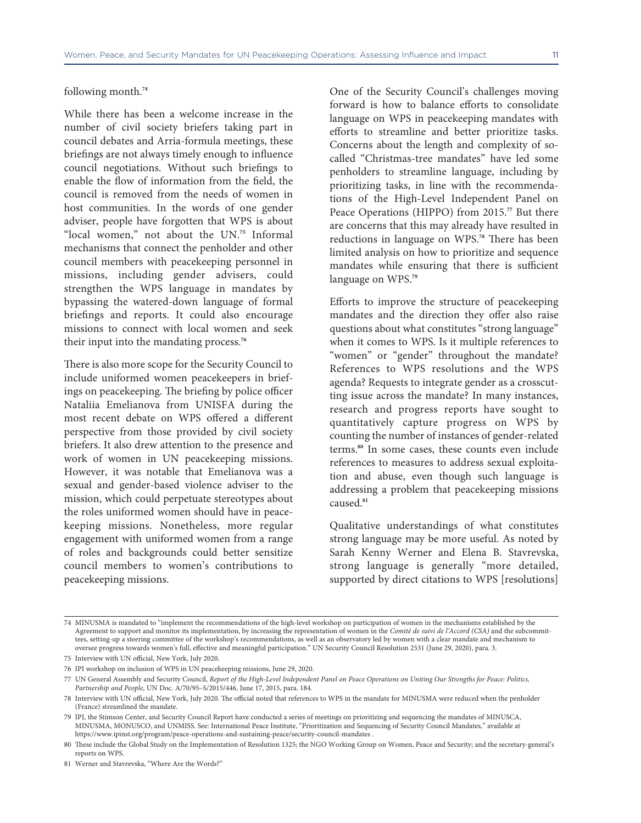#### following month.**<sup>74</sup>**

While there has been a welcome increase in the number of civil society briefers taking part in council debates and Arria-formula meetings, these briefings are not always timely enough to influence council negotiations. Without such briefings to enable the flow of information from the field, the council is removed from the needs of women in host communities. In the words of one gender adviser, people have forgotten that WPS is about "local women," not about the UN.**75** Informal mechanisms that connect the penholder and other council members with peacekeeping personnel in missions, including gender advisers, could strengthen the WPS language in mandates by bypassing the watered-down language of formal briefings and reports. It could also encourage missions to connect with local women and seek their input into the mandating process.**<sup>76</sup>**

There is also more scope for the Security Council to include uniformed women peacekeepers in briefings on peacekeeping. The briefing by police officer Nataliia Emelianova from UNISFA during the most recent debate on WPS offered a different perspective from those provided by civil society briefers. It also drew attention to the presence and work of women in UN peacekeeping missions. However, it was notable that Emelianova was a sexual and gender-based violence adviser to the mission, which could perpetuate stereotypes about the roles uniformed women should have in peacekeeping missions. Nonetheless, more regular engagement with uniformed women from a range of roles and backgrounds could better sensitize council members to women's contributions to peacekeeping missions.

One of the Security Council's challenges moving forward is how to balance efforts to consolidate language on WPS in peacekeeping mandates with efforts to streamline and better prioritize tasks. Concerns about the length and complexity of socalled "Christmas-tree mandates" have led some penholders to streamline language, including by prioritizing tasks, in line with the recommendations of the High-Level Independent Panel on Peace Operations (HIPPO) from 2015.**77** But there are concerns that this may already have resulted in reductions in language on WPS.**78** There has been limited analysis on how to prioritize and sequence mandates while ensuring that there is sufficient language on WPS.**<sup>79</sup>**

Efforts to improve the structure of peacekeeping mandates and the direction they offer also raise questions about what constitutes "strong language" when it comes to WPS. Is it multiple references to "women" or "gender" throughout the mandate? References to WPS resolutions and the WPS agenda? Requests to integrate gender as a crosscutting issue across the mandate? In many instances, research and progress reports have sought to quantitatively capture progress on WPS by counting the number of instances of gender-related terms.**80** In some cases, these counts even include references to measures to address sexual exploitation and abuse, even though such language is addressing a problem that peacekeeping missions caused.**<sup>81</sup>**

Qualitative understandings of what constitutes strong language may be more useful. As noted by Sarah Kenny Werner and Elena B. Stavrevska, strong language is generally "more detailed, supported by direct citations to WPS [resolutions]

<sup>74</sup> MINUSMA is mandated to "implement the recommendations of the high-level workshop on participation of women in the mechanisms established by the Agreement to support and monitor its implementation, by increasing the representation of women in the *Comité de suivi de l'Accord (CSA)* and the subcommittees, setting-up a steering committee of the workshop's recommendations, as well as an observatory led by women with a clear mandate and mechanism to oversee progress towards women's full, effective and meaningful participation." UN Security Council Resolution 2531 (June 29, 2020), para. 3.

<sup>75</sup> Interview with UN official, New York, July 2020.

<sup>76</sup> IPI workshop on inclusion of WPS in UN peacekeeping missions, June 29, 2020.

<sup>77</sup> UN General Assembly and Security Council, *Report of the High-Level Independent Panel on Peace Operations on Uniting Our Strengths for Peace: Politics, Partnership and People*, UN Doc. A/70/95–S/2015/446, June 17, 2015, para. 184.

<sup>78</sup> Interview with UN official, New York, July 2020. The official noted that references to WPS in the mandate for MINUSMA were reduced when the penholder (France) streamlined the mandate.

<sup>79</sup> IPI, the Stimson Center, and Security Council Report have conducted a series of meetings on prioritizing and sequencing the mandates of MINUSCA, MINUSMA, MONUSCO, and UNMISS. See: International Peace Institute, "Prioritization and Sequencing of Security Council Mandates," available at https://www.ipinst.org/program/peace-operations-and-sustaining-peace/security-council-mandates .

<sup>80</sup> [These include the Global Study on the Implementation of Resolution 1325; the NGO Working Grou](https://www.ipinst.org/program/peace-operations-and-sustaining-peace/security-council-mandates)p on Women, Peace and Security; and the secretary-general's reports on WPS.

<sup>81</sup> Werner and Stavrevska, "Where Are the Words?"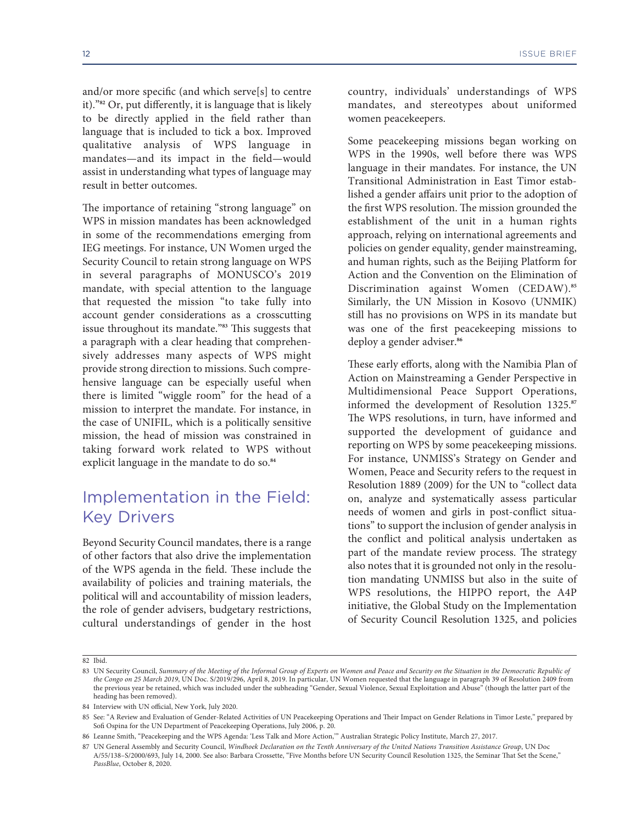and/or more specific (and which serve[s] to centre it)."**82** Or, put differently, it is language that is likely to be directly applied in the field rather than language that is included to tick a box. Improved qualitative analysis of WPS language in mandates—and its impact in the field—would assist in understanding what types of language may result in better outcomes.

The importance of retaining "strong language" on WPS in mission mandates has been acknowledged in some of the recommendations emerging from IEG meetings. For instance, UN Women urged the Security Council to retain strong language on WPS in several paragraphs of MONUSCO's 2019 mandate, with special attention to the language that requested the mission "to take fully into account gender considerations as a crosscutting issue throughout its mandate."**83** This suggests that a paragraph with a clear heading that comprehensively addresses many aspects of WPS might provide strong direction to missions. Such comprehensive language can be especially useful when there is limited "wiggle room" for the head of a mission to interpret the mandate. For instance, in the case of UNIFIL, which is a politically sensitive mission, the head of mission was constrained in taking forward work related to WPS without explicit language in the mandate to do so.**<sup>84</sup>**

## Implementation in the Field: Key Drivers

Beyond Security Council mandates, there is a range of other factors that also drive the implementation of the WPS agenda in the field. These include the availability of policies and training materials, the political will and accountability of mission leaders, the role of gender advisers, budgetary restrictions, cultural understandings of gender in the host

country, individuals' understandings of WPS mandates, and stereotypes about uniformed women peacekeepers.

Some peacekeeping missions began working on WPS in the 1990s, well before there was WPS language in their mandates. For instance, the UN Transitional Administration in East Timor established a gender affairs unit prior to the adoption of the first WPS resolution. The mission grounded the establishment of the unit in a human rights approach, relying on international agreements and policies on gender equality, gender mainstreaming, and human rights, such as the Beijing Platform for Action and the Convention on the Elimination of Discrimination against Women (CEDAW).**<sup>85</sup>** Similarly, the UN Mission in Kosovo (UNMIK) still has no provisions on WPS in its mandate but was one of the first peacekeeping missions to deploy a gender adviser.**<sup>86</sup>**

These early efforts, along with the Namibia Plan of Action on Mainstreaming a Gender Perspective in Multidimensional Peace Support Operations, informed the development of Resolution 1325.**<sup>87</sup>** The WPS resolutions, in turn, have informed and supported the development of guidance and reporting on WPS by some peacekeeping missions. For instance, UNMISS's Strategy on Gender and Women, Peace and Security refers to the request in Resolution 1889 (2009) for the UN to "collect data on, analyze and systematically assess particular needs of women and girls in post-conflict situations" to support the inclusion of gender analysis in the conflict and political analysis undertaken as part of the mandate review process. The strategy also notes that it is grounded not only in the resolution mandating UNMISS but also in the suite of WPS resolutions, the HIPPO report, the A4P initiative, the Global Study on the Implementation of Security Council Resolution 1325, and policies

<sup>82</sup> Ibid.

<sup>83</sup> UN Security Council, *Summary of the Meeting of the Informal Group of Experts on Women and Peace and Security on the Situation in the Democratic Republic of the Congo on 25 March 2019*, UN Doc. S/2019/296, April 8, 2019. In particular, UN Women requested that the language in paragraph 39 of Resolution 2409 from the previous year be retained, which was included under the subheading "Gender, Sexual Violence, Sexual Exploitation and Abuse" (though the latter part of the heading has been removed).

<sup>84</sup> Interview with UN official, New York, July 2020.

<sup>85</sup> See: "A Review and Evaluation of Gender-Related Activities of UN Peacekeeping Operations and Their Impact on Gender Relations in Timor Leste," prepared by Sofi Ospina for the UN Department of Peacekeeping Operations, July 2006, p. 20.

<sup>86</sup> Leanne Smith, "Peacekeeping and the WPS Agenda: 'Less Talk and More Action,'" Australian Strategic Policy Institute, March 27, 2017.

<sup>87</sup> UN General Assembly and Security Council, *Windhoek Declaration on the Tenth Anniversary of the United Nations Transition Assistance Group*, UN Doc A/55/138–S/2000/693, July 14, 2000. See also: Barbara Crossette, "Five Months before UN Security Council Resolution 1325, the Seminar That Set the Scene," *PassBlue*, October 8, 2020.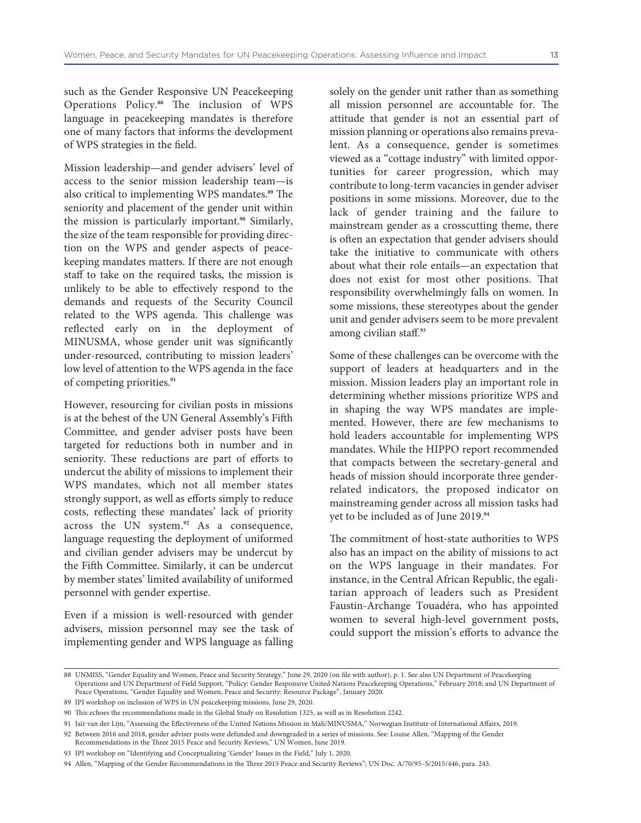such as the Gender Responsive UN Peacekeeping Operations Policy.**88** The inclusion of WPS language in peacekeeping mandates is therefore one of many factors that informs the development of WPS strategies in the field.

Mission leadership—and gender advisers' level of access to the senior mission leadership team—is also critical to implementing WPS mandates.**89** The seniority and placement of the gender unit within the mission is particularly important.**90** Similarly, the size of the team responsible for providing direction on the WPS and gender aspects of peacekeeping mandates matters. If there are not enough staff to take on the required tasks, the mission is unlikely to be able to effectively respond to the demands and requests of the Security Council related to the WPS agenda. This challenge was reflected early on in the deployment of MINUSMA, whose gender unit was significantly under-resourced, contributing to mission leaders' low level of attention to the WPS agenda in the face of competing priorities.**<sup>91</sup>**

However, resourcing for civilian posts in missions is at the behest of the UN General Assembly's Fifth Committee, and gender adviser posts have been targeted for reductions both in number and in seniority. These reductions are part of efforts to undercut the ability of missions to implement their WPS mandates, which not all member states strongly support, as well as efforts simply to reduce costs, reflecting these mandates' lack of priority across the UN system.**92** As a consequence, language requesting the deployment of uniformed and civilian gender advisers may be undercut by the Fifth Committee. Similarly, it can be undercut by member states' limited availability of uniformed personnel with gender expertise.

Even if a mission is well-resourced with gender advisers, mission personnel may see the task of implementing gender and WPS language as falling

solely on the gender unit rather than as something all mission personnel are accountable for. The attitude that gender is not an essential part of mission planning or operations also remains prevalent. As a consequence, gender is sometimes viewed as a "cottage industry" with limited opportunities for career progression, which may contribute to long-term vacancies in gender adviser positions in some missions. Moreover, due to the lack of gender training and the failure to mainstream gender as a crosscutting theme, there is often an expectation that gender advisers should take the initiative to communicate with others about what their role entails—an expectation that does not exist for most other positions. That responsibility overwhelmingly falls on women. In some missions, these stereotypes about the gender unit and gender advisers seem to be more prevalent among civilian staff.**<sup>93</sup>**

Some of these challenges can be overcome with the support of leaders at headquarters and in the mission. Mission leaders play an important role in determining whether missions prioritize WPS and in shaping the way WPS mandates are implemented. However, there are few mechanisms to hold leaders accountable for implementing WPS mandates. While the HIPPO report recommended that compacts between the secretary-general and heads of mission should incorporate three genderrelated indicators, the proposed indicator on mainstreaming gender across all mission tasks had yet to be included as of June 2019.**<sup>94</sup>**

The commitment of host-state authorities to WPS also has an impact on the ability of missions to act on the WPS language in their mandates. For instance, in the Central African Republic, the egalitarian approach of leaders such as President Faustin-Archange Touadéra, who has appointed women to several high-level government posts, could support the mission's efforts to advance the

<sup>88</sup> UNMISS, "Gender Equality and Women, Peace and Security Strategy," June 29, 2020 (on file with author), p. 1. See also UN Department of Peacekeeping Operations and UN Department of Field Support, "Policy: Gender Responsive United Nations Peacekeeping Operations," February 2018; and UN Department of Peace Operations, "Gender Equality and Women, Peace and Security: Resource Package", January 2020.

<sup>89</sup> IPI workshop on inclusion of WPS in UN peacekeeping missions, June 29, 2020.

<sup>90</sup> This echoes the recommendations made in the Global Study on Resolution 1325, as well as in Resolution 2242.

<sup>91</sup> Jaïr van der Lijn, "Assessing the Effectiveness of the United Nations Mission in Mali/MINUSMA," Norwegian Institute of International Affairs, 2019.

<sup>92</sup> Between 2016 and 2018, gender adviser posts were defunded and downgraded in a series of missions. See: Louise Allen, "Mapping of the Gender

Recommendations in the Three 2015 Peace and Security Reviews," UN Women, June 2019.

<sup>93</sup> IPI workshop on "Identifying and Conceptualizing 'Gender' Issues in the Field," July 1, 2020.

<sup>94</sup> Allen, "Mapping of the Gender Recommendations in the Three 2015 Peace and Security Reviews"; UN Doc. A/70/95–S/2015/446, para. 243.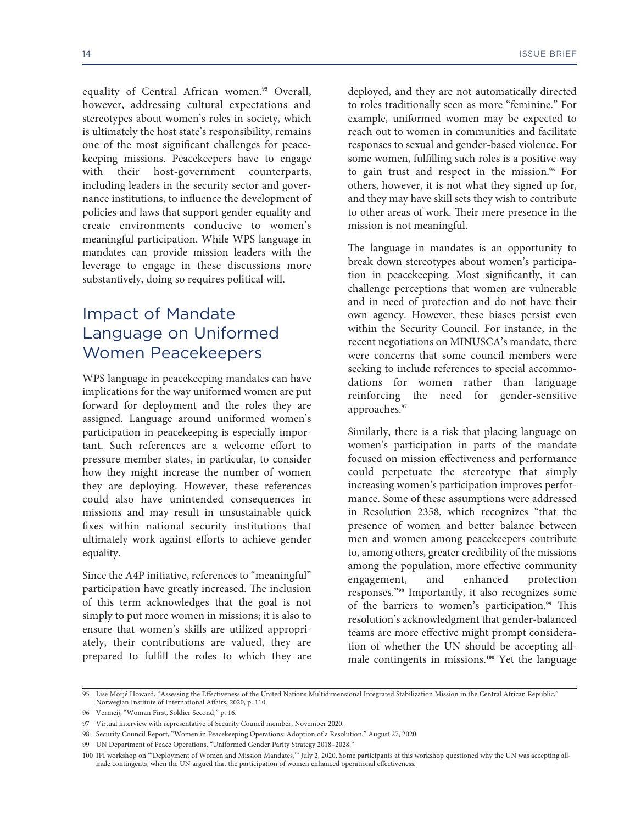equality of Central African women.**95** Overall, however, addressing cultural expectations and stereotypes about women's roles in society, which is ultimately the host state's responsibility, remains one of the most significant challenges for peacekeeping missions. Peacekeepers have to engage with their host-government counterparts, including leaders in the security sector and governance institutions, to influence the development of policies and laws that support gender equality and create environments conducive to women's meaningful participation. While WPS language in mandates can provide mission leaders with the leverage to engage in these discussions more substantively, doing so requires political will.

## Impact of Mandate Language on Uniformed Women Peacekeepers

WPS language in peacekeeping mandates can have implications for the way uniformed women are put forward for deployment and the roles they are assigned. Language around uniformed women's participation in peacekeeping is especially important. Such references are a welcome effort to pressure member states, in particular, to consider how they might increase the number of women they are deploying. However, these references could also have unintended consequences in missions and may result in unsustainable quick fixes within national security institutions that ultimately work against efforts to achieve gender equality.

Since the A4P initiative, references to "meaningful" participation have greatly increased. The inclusion of this term acknowledges that the goal is not simply to put more women in missions; it is also to ensure that women's skills are utilized appropriately, their contributions are valued, they are prepared to fulfill the roles to which they are

deployed, and they are not automatically directed to roles traditionally seen as more "feminine." For example, uniformed women may be expected to reach out to women in communities and facilitate responses to sexual and gender-based violence. For some women, fulfilling such roles is a positive way to gain trust and respect in the mission.**96** For others, however, it is not what they signed up for, and they may have skill sets they wish to contribute to other areas of work. Their mere presence in the

The language in mandates is an opportunity to break down stereotypes about women's participation in peacekeeping. Most significantly, it can challenge perceptions that women are vulnerable and in need of protection and do not have their own agency. However, these biases persist even within the Security Council. For instance, in the recent negotiations on MINUSCA's mandate, there were concerns that some council members were seeking to include references to special accommodations for women rather than language reinforcing the need for gender-sensitive approaches.**<sup>97</sup>**

mission is not meaningful.

Similarly, there is a risk that placing language on women's participation in parts of the mandate focused on mission effectiveness and performance could perpetuate the stereotype that simply increasing women's participation improves performance. Some of these assumptions were addressed in Resolution 2358, which recognizes "that the presence of women and better balance between men and women among peacekeepers contribute to, among others, greater credibility of the missions among the population, more effective community engagement, and enhanced protection responses."**98** Importantly, it also recognizes some of the barriers to women's participation.**99** This resolution's acknowledgment that gender-balanced teams are more effective might prompt consideration of whether the UN should be accepting allmale contingents in missions.**100** Yet the language

98 Security Council Report, "Women in Peacekeeping Operations: Adoption of a Resolution," August 27, 2020.

<sup>95</sup> Lise Morjé Howard, "Assessing the Effectiveness of the United Nations Multidimensional Integrated Stabilization Mission in the Central African Republic," Norwegian Institute of International Affairs, 2020, p. 110.

<sup>96</sup> Vermeij, "Woman First, Soldier Second," p. 16.

<sup>97</sup> Virtual interview with representative of Security Council member, November 2020.

<sup>99</sup> UN Department of Peace Operations, "Uniformed Gender Parity Strategy 2018–2028."

<sup>100</sup> IPI workshop on "'Deployment of Women and Mission Mandates,'" July 2, 2020. Some participants at this workshop questioned why the UN was accepting allmale contingents, when the UN argued that the participation of women enhanced operational effectiveness.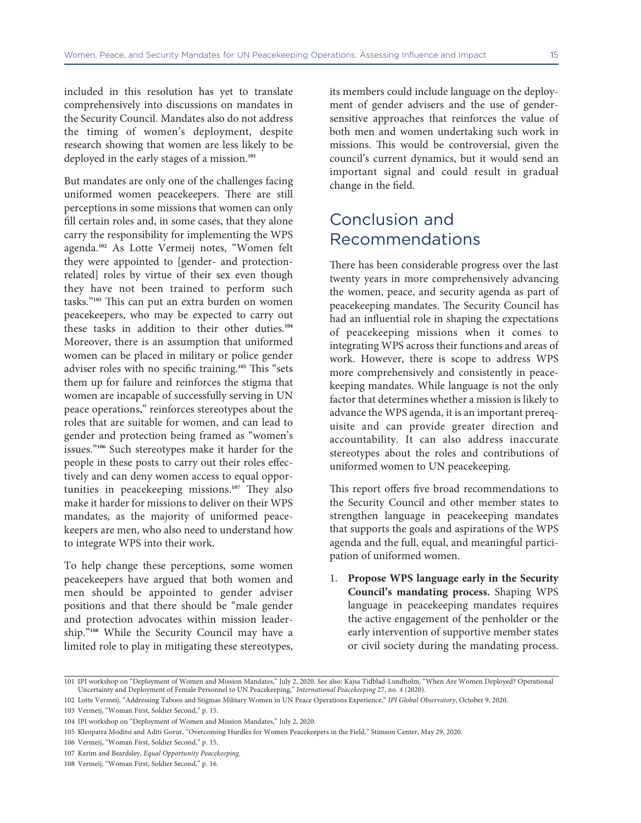included in this resolution has yet to translate comprehensively into discussions on mandates in the Security Council. Mandates also do not address the timing of women's deployment, despite research showing that women are less likely to be deployed in the early stages of a mission.**<sup>101</sup>**

But mandates are only one of the challenges facing uniformed women peacekeepers. There are still perceptions in some missions that women can only fill certain roles and, in some cases, that they alone carry the responsibility for implementing the WPS agenda.**102** As Lotte Vermeij notes, "Women felt they were appointed to [gender- and protectionrelated] roles by virtue of their sex even though they have not been trained to perform such tasks."**103** This can put an extra burden on women peacekeepers, who may be expected to carry out these tasks in addition to their other duties.**<sup>104</sup>** Moreover, there is an assumption that uniformed women can be placed in military or police gender adviser roles with no specific training.**105** This "sets them up for failure and reinforces the stigma that women are incapable of successfully serving in UN peace operations," reinforces stereotypes about the roles that are suitable for women, and can lead to gender and protection being framed as "women's issues."**106** Such stereotypes make it harder for the people in these posts to carry out their roles effectively and can deny women access to equal opportunities in peacekeeping missions.**107** They also make it harder for missions to deliver on their WPS mandates, as the majority of uniformed peacekeepers are men, who also need to understand how to integrate WPS into their work.

To help change these perceptions, some women peacekeepers have argued that both women and men should be appointed to gender adviser positions and that there should be "male gender and protection advocates within mission leadership."**108** While the Security Council may have a limited role to play in mitigating these stereotypes,

its members could include language on the deployment of gender advisers and the use of gendersensitive approaches that reinforces the value of both men and women undertaking such work in missions. This would be controversial, given the council's current dynamics, but it would send an important signal and could result in gradual change in the field.

## Conclusion and Recommendations

There has been considerable progress over the last twenty years in more comprehensively advancing the women, peace, and security agenda as part of peacekeeping mandates. The Security Council has had an influential role in shaping the expectations of peacekeeping missions when it comes to integrating WPS across their functions and areas of work. However, there is scope to address WPS more comprehensively and consistently in peacekeeping mandates. While language is not the only factor that determines whether a mission is likely to advance the WPS agenda, it is an important prerequisite and can provide greater direction and accountability. It can also address inaccurate stereotypes about the roles and contributions of uniformed women to UN peacekeeping.

This report offers five broad recommendations to the Security Council and other member states to strengthen language in peacekeeping mandates that supports the goals and aspirations of the WPS agenda and the full, equal, and meaningful participation of uniformed women.

1. **Propose WPS language early in the Security Council's mandating process.** Shaping WPS language in peacekeeping mandates requires the active engagement of the penholder or the early intervention of supportive member states or civil society during the mandating process.

<sup>101</sup> IPI workshop on "Deployment of Women and Mission Mandates," July 2, 2020. See also: Kajsa Tidblad-Lundholm, "When Are Women Deployed? Operational Uncertainty and Deployment of Female Personnel to UN Peacekeeping," *International Peacekeeping* 27, no. 4 (2020).

<sup>102</sup> Lotte Vermeij, "Addressing Taboos and Stigmas Military Women in UN Peace Operations Experience," *IPI Global Observatory*, October 9, 2020.

<sup>103</sup> Vermeij, "Woman First, Soldier Second," p. 15.

<sup>104</sup> IPI workshop on "Deployment of Women and Mission Mandates," July 2, 2020.

<sup>105</sup> Kleopatra Moditsi and Aditi Gorur, "Overcoming Hurdles for Women Peacekeepers in the Field," Stimson Center, May 29, 2020.

<sup>106</sup> Vermeij, "Woman First, Soldier Second," p. 15.

<sup>107</sup> Karim and Beardsley, *Equal Opportunity Peacekeeping*.

<sup>108</sup> Vermeij, "Woman First, Soldier Second," p. 16.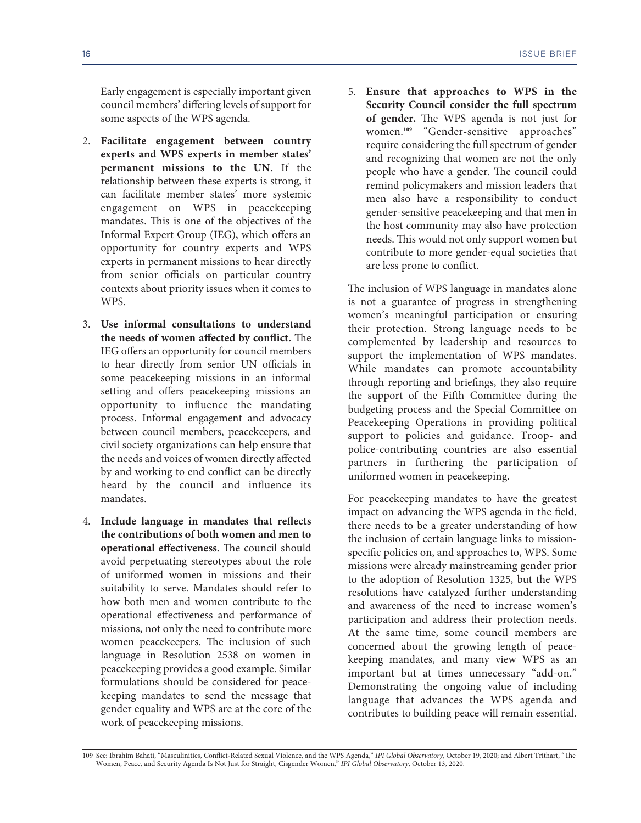Early engagement is especially important given council members' differing levels of support for some aspects of the WPS agenda.

- 2. **Facilitate engagement between country experts and WPS experts in member states' permanent missions to the UN.** If the relationship between these experts is strong, it can facilitate member states' more systemic engagement on WPS in peacekeeping mandates. This is one of the objectives of the Informal Expert Group (IEG), which offers an opportunity for country experts and WPS experts in permanent missions to hear directly from senior officials on particular country contexts about priority issues when it comes to WPS.
- 3. **Use informal consultations to understand the needs of women affected by conflict.** The IEG offers an opportunity for council members to hear directly from senior UN officials in some peacekeeping missions in an informal setting and offers peacekeeping missions an opportunity to influence the mandating process. Informal engagement and advocacy between council members, peacekeepers, and civil society organizations can help ensure that the needs and voices of women directly affected by and working to end conflict can be directly heard by the council and influence its mandates.
- 4. **Include language in mandates that reflects the contributions of both women and men to operational effectiveness.** The council should avoid perpetuating stereotypes about the role of uniformed women in missions and their suitability to serve. Mandates should refer to how both men and women contribute to the operational effectiveness and performance of missions, not only the need to contribute more women peacekeepers. The inclusion of such language in Resolution 2538 on women in peacekeeping provides a good example. Similar formulations should be considered for peacekeeping mandates to send the message that gender equality and WPS are at the core of the work of peacekeeping missions.

5. **Ensure that approaches to WPS in the Security Council consider the full spectrum of gender.** The WPS agenda is not just for women.**109** "Gender-sensitive approaches" require considering the full spectrum of gender and recognizing that women are not the only people who have a gender. The council could remind policymakers and mission leaders that men also have a responsibility to conduct gender-sensitive peacekeeping and that men in the host community may also have protection needs. This would not only support women but contribute to more gender-equal societies that are less prone to conflict.

The inclusion of WPS language in mandates alone is not a guarantee of progress in strengthening women's meaningful participation or ensuring their protection. Strong language needs to be complemented by leadership and resources to support the implementation of WPS mandates. While mandates can promote accountability through reporting and briefings, they also require the support of the Fifth Committee during the budgeting process and the Special Committee on Peacekeeping Operations in providing political support to policies and guidance. Troop- and police-contributing countries are also essential partners in furthering the participation of uniformed women in peacekeeping.

For peacekeeping mandates to have the greatest impact on advancing the WPS agenda in the field, there needs to be a greater understanding of how the inclusion of certain language links to missionspecific policies on, and approaches to, WPS. Some missions were already mainstreaming gender prior to the adoption of Resolution 1325, but the WPS resolutions have catalyzed further understanding and awareness of the need to increase women's participation and address their protection needs. At the same time, some council members are concerned about the growing length of peacekeeping mandates, and many view WPS as an important but at times unnecessary "add-on." Demonstrating the ongoing value of including language that advances the WPS agenda and contributes to building peace will remain essential.

<sup>109</sup> See: Ibrahim Bahati, "Masculinities, Conflict-Related Sexual Violence, and the WPS Agenda," *IPI Global Observatory*, October 19, 2020; and Albert Trithart, "The Women, Peace, and Security Agenda Is Not Just for Straight, Cisgender Women," *IPI Global Observatory*, October 13, 2020.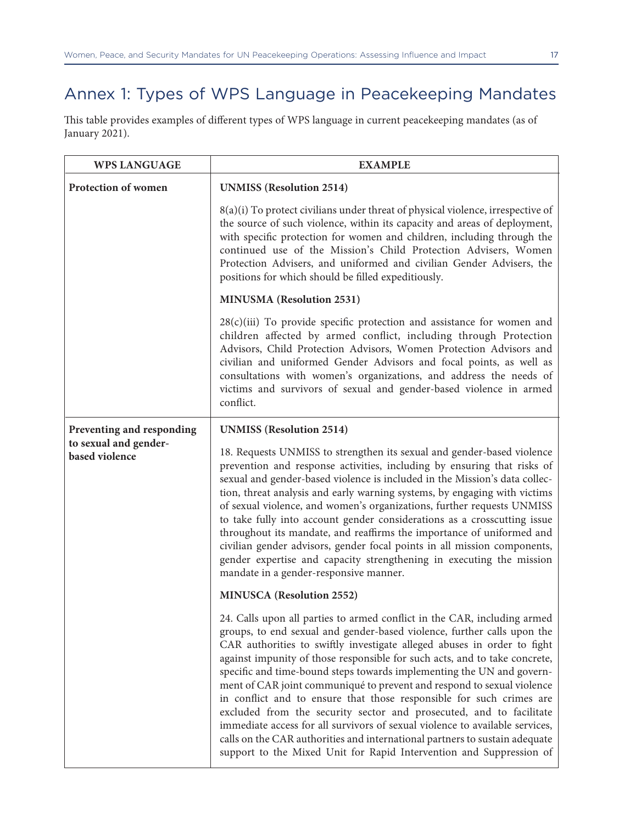# Annex 1: Types of WPS Language in Peacekeeping Mandates

This table provides examples of different types of WPS language in current peacekeeping mandates (as of January 2021).

| <b>WPS LANGUAGE</b>                     | <b>EXAMPLE</b>                                                                                                                                                                                                                                                                                                                                                                                                                                                                                                                                                                                                                                                                                                                                                                                                                                       |
|-----------------------------------------|------------------------------------------------------------------------------------------------------------------------------------------------------------------------------------------------------------------------------------------------------------------------------------------------------------------------------------------------------------------------------------------------------------------------------------------------------------------------------------------------------------------------------------------------------------------------------------------------------------------------------------------------------------------------------------------------------------------------------------------------------------------------------------------------------------------------------------------------------|
| Protection of women                     | <b>UNMISS</b> (Resolution 2514)                                                                                                                                                                                                                                                                                                                                                                                                                                                                                                                                                                                                                                                                                                                                                                                                                      |
|                                         | $8(a)(i)$ To protect civilians under threat of physical violence, irrespective of<br>the source of such violence, within its capacity and areas of deployment,<br>with specific protection for women and children, including through the<br>continued use of the Mission's Child Protection Advisers, Women<br>Protection Advisers, and uniformed and civilian Gender Advisers, the<br>positions for which should be filled expeditiously.                                                                                                                                                                                                                                                                                                                                                                                                           |
|                                         | <b>MINUSMA</b> (Resolution 2531)                                                                                                                                                                                                                                                                                                                                                                                                                                                                                                                                                                                                                                                                                                                                                                                                                     |
|                                         | $28(c)(iii)$ To provide specific protection and assistance for women and<br>children affected by armed conflict, including through Protection<br>Advisors, Child Protection Advisors, Women Protection Advisors and<br>civilian and uniformed Gender Advisors and focal points, as well as<br>consultations with women's organizations, and address the needs of<br>victims and survivors of sexual and gender-based violence in armed<br>conflict.                                                                                                                                                                                                                                                                                                                                                                                                  |
| Preventing and responding               | <b>UNMISS</b> (Resolution 2514)                                                                                                                                                                                                                                                                                                                                                                                                                                                                                                                                                                                                                                                                                                                                                                                                                      |
| to sexual and gender-<br>based violence | 18. Requests UNMISS to strengthen its sexual and gender-based violence<br>prevention and response activities, including by ensuring that risks of<br>sexual and gender-based violence is included in the Mission's data collec-<br>tion, threat analysis and early warning systems, by engaging with victims<br>of sexual violence, and women's organizations, further requests UNMISS<br>to take fully into account gender considerations as a crosscutting issue<br>throughout its mandate, and reaffirms the importance of uniformed and<br>civilian gender advisors, gender focal points in all mission components,<br>gender expertise and capacity strengthening in executing the mission<br>mandate in a gender-responsive manner.                                                                                                            |
|                                         | <b>MINUSCA</b> (Resolution 2552)                                                                                                                                                                                                                                                                                                                                                                                                                                                                                                                                                                                                                                                                                                                                                                                                                     |
|                                         | 24. Calls upon all parties to armed conflict in the CAR, including armed<br>groups, to end sexual and gender-based violence, further calls upon the<br>CAR authorities to swiftly investigate alleged abuses in order to fight<br>against impunity of those responsible for such acts, and to take concrete,<br>specific and time-bound steps towards implementing the UN and govern-<br>ment of CAR joint communiqué to prevent and respond to sexual violence<br>in conflict and to ensure that those responsible for such crimes are<br>excluded from the security sector and prosecuted, and to facilitate<br>immediate access for all survivors of sexual violence to available services,<br>calls on the CAR authorities and international partners to sustain adequate<br>support to the Mixed Unit for Rapid Intervention and Suppression of |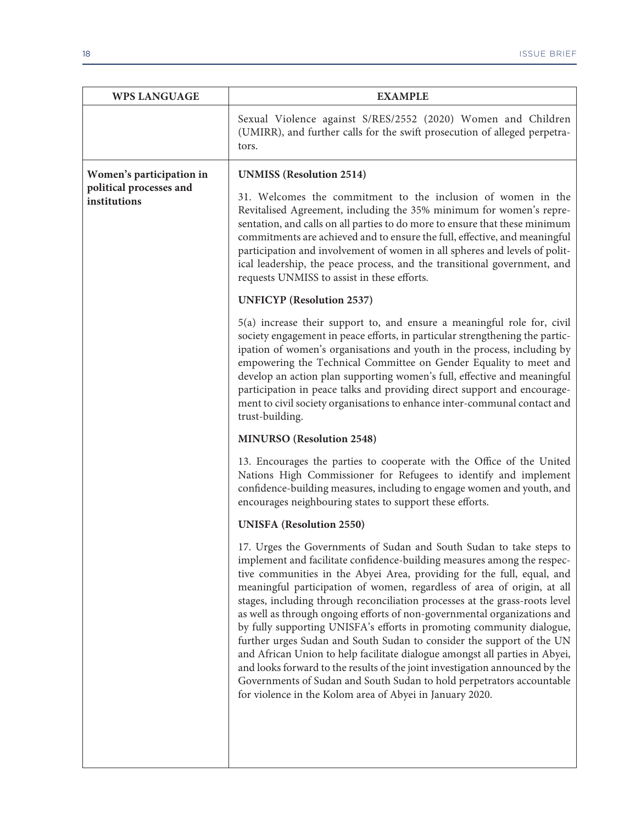| <b>WPS LANGUAGE</b>                     | <b>EXAMPLE</b>                                                                                                                                                                                                                                                                                                                                                                                                                                                                                                                                                                                                                                                                                                                                                                                                                                                                                                       |
|-----------------------------------------|----------------------------------------------------------------------------------------------------------------------------------------------------------------------------------------------------------------------------------------------------------------------------------------------------------------------------------------------------------------------------------------------------------------------------------------------------------------------------------------------------------------------------------------------------------------------------------------------------------------------------------------------------------------------------------------------------------------------------------------------------------------------------------------------------------------------------------------------------------------------------------------------------------------------|
|                                         | Sexual Violence against S/RES/2552 (2020) Women and Children<br>(UMIRR), and further calls for the swift prosecution of alleged perpetra-<br>tors.                                                                                                                                                                                                                                                                                                                                                                                                                                                                                                                                                                                                                                                                                                                                                                   |
| Women's participation in                | <b>UNMISS</b> (Resolution 2514)                                                                                                                                                                                                                                                                                                                                                                                                                                                                                                                                                                                                                                                                                                                                                                                                                                                                                      |
| political processes and<br>institutions | 31. Welcomes the commitment to the inclusion of women in the<br>Revitalised Agreement, including the 35% minimum for women's repre-<br>sentation, and calls on all parties to do more to ensure that these minimum<br>commitments are achieved and to ensure the full, effective, and meaningful<br>participation and involvement of women in all spheres and levels of polit-<br>ical leadership, the peace process, and the transitional government, and<br>requests UNMISS to assist in these efforts.                                                                                                                                                                                                                                                                                                                                                                                                            |
|                                         | <b>UNFICYP</b> (Resolution 2537)                                                                                                                                                                                                                                                                                                                                                                                                                                                                                                                                                                                                                                                                                                                                                                                                                                                                                     |
|                                         | 5(a) increase their support to, and ensure a meaningful role for, civil<br>society engagement in peace efforts, in particular strengthening the partic-<br>ipation of women's organisations and youth in the process, including by<br>empowering the Technical Committee on Gender Equality to meet and<br>develop an action plan supporting women's full, effective and meaningful<br>participation in peace talks and providing direct support and encourage-<br>ment to civil society organisations to enhance inter-communal contact and<br>trust-building.                                                                                                                                                                                                                                                                                                                                                      |
|                                         | <b>MINURSO</b> (Resolution 2548)                                                                                                                                                                                                                                                                                                                                                                                                                                                                                                                                                                                                                                                                                                                                                                                                                                                                                     |
|                                         | 13. Encourages the parties to cooperate with the Office of the United<br>Nations High Commissioner for Refugees to identify and implement<br>confidence-building measures, including to engage women and youth, and<br>encourages neighbouring states to support these efforts.                                                                                                                                                                                                                                                                                                                                                                                                                                                                                                                                                                                                                                      |
|                                         | <b>UNISFA</b> (Resolution 2550)                                                                                                                                                                                                                                                                                                                                                                                                                                                                                                                                                                                                                                                                                                                                                                                                                                                                                      |
|                                         | 17. Urges the Governments of Sudan and South Sudan to take steps to<br>implement and facilitate confidence-building measures among the respec-<br>tive communities in the Abyei Area, providing for the full, equal, and<br>meaningful participation of women, regardless of area of origin, at all<br>stages, including through reconciliation processes at the grass-roots level<br>as well as through ongoing efforts of non-governmental organizations and<br>by fully supporting UNISFA's efforts in promoting community dialogue,<br>further urges Sudan and South Sudan to consider the support of the UN<br>and African Union to help facilitate dialogue amongst all parties in Abyei,<br>and looks forward to the results of the joint investigation announced by the<br>Governments of Sudan and South Sudan to hold perpetrators accountable<br>for violence in the Kolom area of Abyei in January 2020. |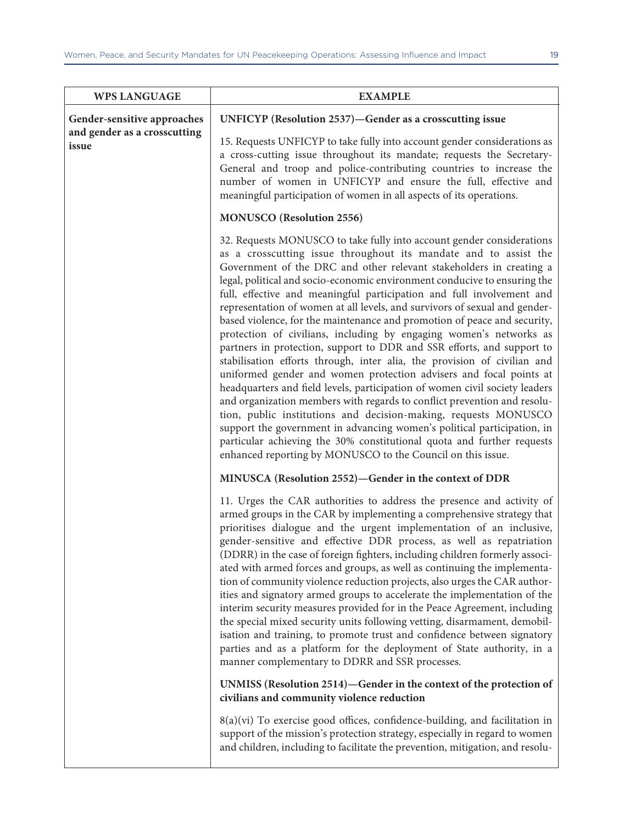| <b>WPS LANGUAGE</b>                   | <b>EXAMPLE</b>                                                                                                                                                                                                                                                                                                                                                                                                                                                                                                                                                                                                                                                                                                                                                                                                                                                                                                                                                                                                                                                                                                                                                                                                                                                                       |
|---------------------------------------|--------------------------------------------------------------------------------------------------------------------------------------------------------------------------------------------------------------------------------------------------------------------------------------------------------------------------------------------------------------------------------------------------------------------------------------------------------------------------------------------------------------------------------------------------------------------------------------------------------------------------------------------------------------------------------------------------------------------------------------------------------------------------------------------------------------------------------------------------------------------------------------------------------------------------------------------------------------------------------------------------------------------------------------------------------------------------------------------------------------------------------------------------------------------------------------------------------------------------------------------------------------------------------------|
| Gender-sensitive approaches           | UNFICYP (Resolution 2537)-Gender as a crosscutting issue                                                                                                                                                                                                                                                                                                                                                                                                                                                                                                                                                                                                                                                                                                                                                                                                                                                                                                                                                                                                                                                                                                                                                                                                                             |
| and gender as a crosscutting<br>issue | 15. Requests UNFICYP to take fully into account gender considerations as<br>a cross-cutting issue throughout its mandate; requests the Secretary-<br>General and troop and police-contributing countries to increase the<br>number of women in UNFICYP and ensure the full, effective and<br>meaningful participation of women in all aspects of its operations.                                                                                                                                                                                                                                                                                                                                                                                                                                                                                                                                                                                                                                                                                                                                                                                                                                                                                                                     |
|                                       | <b>MONUSCO</b> (Resolution 2556)                                                                                                                                                                                                                                                                                                                                                                                                                                                                                                                                                                                                                                                                                                                                                                                                                                                                                                                                                                                                                                                                                                                                                                                                                                                     |
|                                       | 32. Requests MONUSCO to take fully into account gender considerations<br>as a crosscutting issue throughout its mandate and to assist the<br>Government of the DRC and other relevant stakeholders in creating a<br>legal, political and socio-economic environment conducive to ensuring the<br>full, effective and meaningful participation and full involvement and<br>representation of women at all levels, and survivors of sexual and gender-<br>based violence, for the maintenance and promotion of peace and security,<br>protection of civilians, including by engaging women's networks as<br>partners in protection, support to DDR and SSR efforts, and support to<br>stabilisation efforts through, inter alia, the provision of civilian and<br>uniformed gender and women protection advisers and focal points at<br>headquarters and field levels, participation of women civil society leaders<br>and organization members with regards to conflict prevention and resolu-<br>tion, public institutions and decision-making, requests MONUSCO<br>support the government in advancing women's political participation, in<br>particular achieving the 30% constitutional quota and further requests<br>enhanced reporting by MONUSCO to the Council on this issue. |
|                                       | MINUSCA (Resolution 2552)—Gender in the context of DDR                                                                                                                                                                                                                                                                                                                                                                                                                                                                                                                                                                                                                                                                                                                                                                                                                                                                                                                                                                                                                                                                                                                                                                                                                               |
|                                       | 11. Urges the CAR authorities to address the presence and activity of<br>armed groups in the CAR by implementing a comprehensive strategy that<br>prioritises dialogue and the urgent implementation of an inclusive,<br>gender-sensitive and effective DDR process, as well as repatriation<br>(DDRR) in the case of foreign fighters, including children formerly associ-<br>ated with armed forces and groups, as well as continuing the implementa-<br>tion of community violence reduction projects, also urges the CAR author-<br>ities and signatory armed groups to accelerate the implementation of the<br>interim security measures provided for in the Peace Agreement, including<br>the special mixed security units following vetting, disarmament, demobil-<br>isation and training, to promote trust and confidence between signatory<br>parties and as a platform for the deployment of State authority, in a<br>manner complementary to DDRR and SSR processes.                                                                                                                                                                                                                                                                                                     |
|                                       | UNMISS (Resolution 2514)—Gender in the context of the protection of<br>civilians and community violence reduction                                                                                                                                                                                                                                                                                                                                                                                                                                                                                                                                                                                                                                                                                                                                                                                                                                                                                                                                                                                                                                                                                                                                                                    |
|                                       | $8(a)(vi)$ To exercise good offices, confidence-building, and facilitation in<br>support of the mission's protection strategy, especially in regard to women<br>and children, including to facilitate the prevention, mitigation, and resolu-                                                                                                                                                                                                                                                                                                                                                                                                                                                                                                                                                                                                                                                                                                                                                                                                                                                                                                                                                                                                                                        |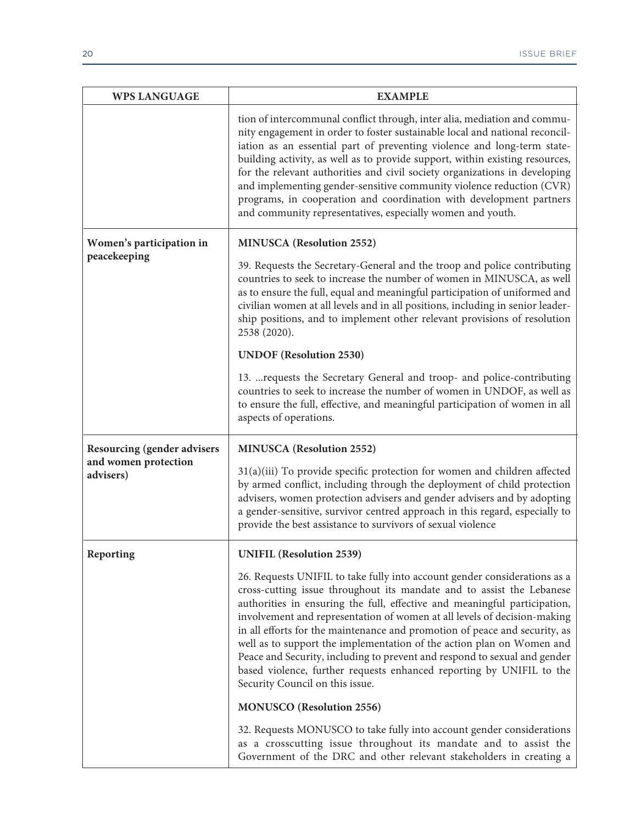| <b>WPS LANGUAGE</b>                | <b>EXAMPLE</b>                                                                                                                                                                                                                                                                                                                                                                                                                                                                                                                                                                                                                                             |
|------------------------------------|------------------------------------------------------------------------------------------------------------------------------------------------------------------------------------------------------------------------------------------------------------------------------------------------------------------------------------------------------------------------------------------------------------------------------------------------------------------------------------------------------------------------------------------------------------------------------------------------------------------------------------------------------------|
|                                    | tion of intercommunal conflict through, inter alia, mediation and commu-<br>nity engagement in order to foster sustainable local and national reconcil-<br>iation as an essential part of preventing violence and long-term state-<br>building activity, as well as to provide support, within existing resources,<br>for the relevant authorities and civil society organizations in developing<br>and implementing gender-sensitive community violence reduction (CVR)<br>programs, in cooperation and coordination with development partners<br>and community representatives, especially women and youth.                                              |
| Women's participation in           | <b>MINUSCA</b> (Resolution 2552)                                                                                                                                                                                                                                                                                                                                                                                                                                                                                                                                                                                                                           |
| peacekeeping                       | 39. Requests the Secretary-General and the troop and police contributing<br>countries to seek to increase the number of women in MINUSCA, as well<br>as to ensure the full, equal and meaningful participation of uniformed and<br>civilian women at all levels and in all positions, including in senior leader-<br>ship positions, and to implement other relevant provisions of resolution<br>2538 (2020).                                                                                                                                                                                                                                              |
|                                    | <b>UNDOF</b> (Resolution 2530)                                                                                                                                                                                                                                                                                                                                                                                                                                                                                                                                                                                                                             |
|                                    | 13.  requests the Secretary General and troop- and police-contributing<br>countries to seek to increase the number of women in UNDOF, as well as<br>to ensure the full, effective, and meaningful participation of women in all<br>aspects of operations.                                                                                                                                                                                                                                                                                                                                                                                                  |
| <b>Resourcing (gender advisers</b> | <b>MINUSCA</b> (Resolution 2552)                                                                                                                                                                                                                                                                                                                                                                                                                                                                                                                                                                                                                           |
| and women protection<br>advisers)  | 31(a)(iii) To provide specific protection for women and children affected<br>by armed conflict, including through the deployment of child protection<br>advisers, women protection advisers and gender advisers and by adopting<br>a gender-sensitive, survivor centred approach in this regard, especially to<br>provide the best assistance to survivors of sexual violence                                                                                                                                                                                                                                                                              |
| Reporting                          | <b>UNIFIL (Resolution 2539)</b>                                                                                                                                                                                                                                                                                                                                                                                                                                                                                                                                                                                                                            |
|                                    | 26. Requests UNIFIL to take fully into account gender considerations as a<br>cross-cutting issue throughout its mandate and to assist the Lebanese<br>authorities in ensuring the full, effective and meaningful participation,<br>involvement and representation of women at all levels of decision-making<br>in all efforts for the maintenance and promotion of peace and security, as<br>well as to support the implementation of the action plan on Women and<br>Peace and Security, including to prevent and respond to sexual and gender<br>based violence, further requests enhanced reporting by UNIFIL to the<br>Security Council on this issue. |
|                                    | <b>MONUSCO</b> (Resolution 2556)                                                                                                                                                                                                                                                                                                                                                                                                                                                                                                                                                                                                                           |
|                                    | 32. Requests MONUSCO to take fully into account gender considerations<br>as a crosscutting issue throughout its mandate and to assist the<br>Government of the DRC and other relevant stakeholders in creating a                                                                                                                                                                                                                                                                                                                                                                                                                                           |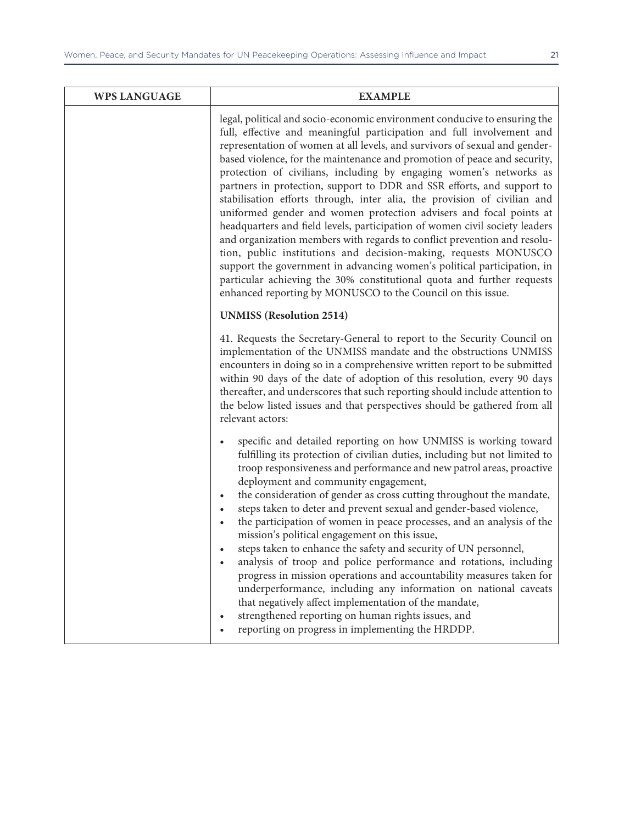| <b>WPS LANGUAGE</b> | <b>EXAMPLE</b>                                                                                                                                                                                                                                                                                                                                                                                                                                                                                                                                                                                                                                                                                                                                                                                                                                                                                                                                                                                                                                                   |
|---------------------|------------------------------------------------------------------------------------------------------------------------------------------------------------------------------------------------------------------------------------------------------------------------------------------------------------------------------------------------------------------------------------------------------------------------------------------------------------------------------------------------------------------------------------------------------------------------------------------------------------------------------------------------------------------------------------------------------------------------------------------------------------------------------------------------------------------------------------------------------------------------------------------------------------------------------------------------------------------------------------------------------------------------------------------------------------------|
|                     | legal, political and socio-economic environment conducive to ensuring the<br>full, effective and meaningful participation and full involvement and<br>representation of women at all levels, and survivors of sexual and gender-<br>based violence, for the maintenance and promotion of peace and security,<br>protection of civilians, including by engaging women's networks as<br>partners in protection, support to DDR and SSR efforts, and support to<br>stabilisation efforts through, inter alia, the provision of civilian and<br>uniformed gender and women protection advisers and focal points at<br>headquarters and field levels, participation of women civil society leaders<br>and organization members with regards to conflict prevention and resolu-<br>tion, public institutions and decision-making, requests MONUSCO<br>support the government in advancing women's political participation, in<br>particular achieving the 30% constitutional quota and further requests<br>enhanced reporting by MONUSCO to the Council on this issue. |
|                     | <b>UNMISS</b> (Resolution 2514)                                                                                                                                                                                                                                                                                                                                                                                                                                                                                                                                                                                                                                                                                                                                                                                                                                                                                                                                                                                                                                  |
|                     | 41. Requests the Secretary-General to report to the Security Council on<br>implementation of the UNMISS mandate and the obstructions UNMISS<br>encounters in doing so in a comprehensive written report to be submitted<br>within 90 days of the date of adoption of this resolution, every 90 days<br>thereafter, and underscores that such reporting should include attention to<br>the below listed issues and that perspectives should be gathered from all<br>relevant actors:                                                                                                                                                                                                                                                                                                                                                                                                                                                                                                                                                                              |
|                     | specific and detailed reporting on how UNMISS is working toward<br>$\bullet$<br>fulfilling its protection of civilian duties, including but not limited to<br>troop responsiveness and performance and new patrol areas, proactive<br>deployment and community engagement,<br>the consideration of gender as cross cutting throughout the mandate,<br>$\bullet$<br>steps taken to deter and prevent sexual and gender-based violence,<br>$\bullet$<br>the participation of women in peace processes, and an analysis of the<br>mission's political engagement on this issue,<br>steps taken to enhance the safety and security of UN personnel,<br>analysis of troop and police performance and rotations, including<br>progress in mission operations and accountability measures taken for<br>underperformance, including any information on national caveats<br>that negatively affect implementation of the mandate,<br>strengthened reporting on human rights issues, and<br>reporting on progress in implementing the HRDDP.                               |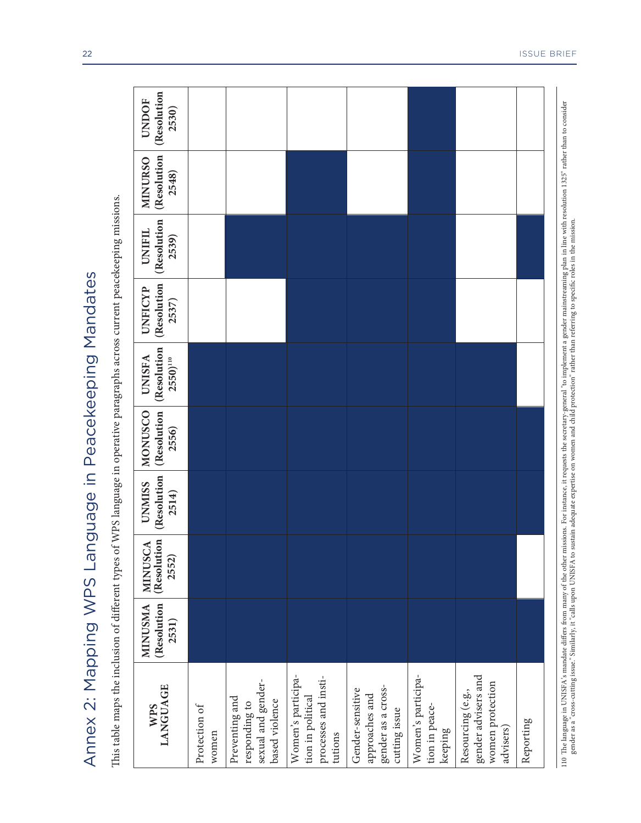| Annex 2: Mapping WPS Language in Peacekeeping Mandates                                                                                                                                                                            |                                        |                                        |                                       |                                        |                                                        |                                 |                                       |                                        |                                      |
|-----------------------------------------------------------------------------------------------------------------------------------------------------------------------------------------------------------------------------------|----------------------------------------|----------------------------------------|---------------------------------------|----------------------------------------|--------------------------------------------------------|---------------------------------|---------------------------------------|----------------------------------------|--------------------------------------|
| This table maps the inclusion of different types of WPS language in operative paragraphs across current peacekeeping missions.                                                                                                    |                                        |                                        |                                       |                                        |                                                        |                                 |                                       |                                        |                                      |
| <b>LANGUAGE</b><br><b>WPS</b>                                                                                                                                                                                                     | (Resolution<br><b>MINUSMA</b><br>2531) | <b>MINUSCA</b><br>(Resolution<br>2552) | (Resolution<br><b>UNMISS</b><br>2514) | (Resolution<br><b>MONUSCO</b><br>2556) | (Resolution<br><b>UNISFA</b><br>$2550)$ <sup>110</sup> | (Resolution<br>UNFICYP<br>2537) | (Resolution<br><b>UNIFIL</b><br>2539) | (Resolution<br><b>MINURSO</b><br>2548) | (Resolution<br><b>UNDOF</b><br>2530) |
| Protection of<br>women                                                                                                                                                                                                            |                                        |                                        |                                       |                                        |                                                        |                                 |                                       |                                        |                                      |
| sexual and gender-<br>Preventing and<br>based violence<br>responding to                                                                                                                                                           |                                        |                                        |                                       |                                        |                                                        |                                 |                                       |                                        |                                      |
| Women's participa-<br>processes and insti-<br>tion in political<br>tutions                                                                                                                                                        |                                        |                                        |                                       |                                        |                                                        |                                 |                                       |                                        |                                      |
| gender as a cross-<br>Gender-sensitive<br>approaches and<br>cutting issue                                                                                                                                                         |                                        |                                        |                                       |                                        |                                                        |                                 |                                       |                                        |                                      |
| Women's participa-<br>tion in peace-<br>keeping                                                                                                                                                                                   |                                        |                                        |                                       |                                        |                                                        |                                 |                                       |                                        |                                      |
| gender advisers and<br>women protection<br>Resourcing (e.g.,<br>advisers)                                                                                                                                                         |                                        |                                        |                                       |                                        |                                                        |                                 |                                       |                                        |                                      |
| Reporting                                                                                                                                                                                                                         |                                        |                                        |                                       |                                        |                                                        |                                 |                                       |                                        |                                      |
| 110 The language in UNISFA's mandate differs from many of the other missions. For instance, it requests the secretary-general "to implement a gender mainstreaming plan in line with resolution 1325" rather than to consider<br> |                                        |                                        |                                       |                                        |                                                        |                                 |                                       |                                        |                                      |